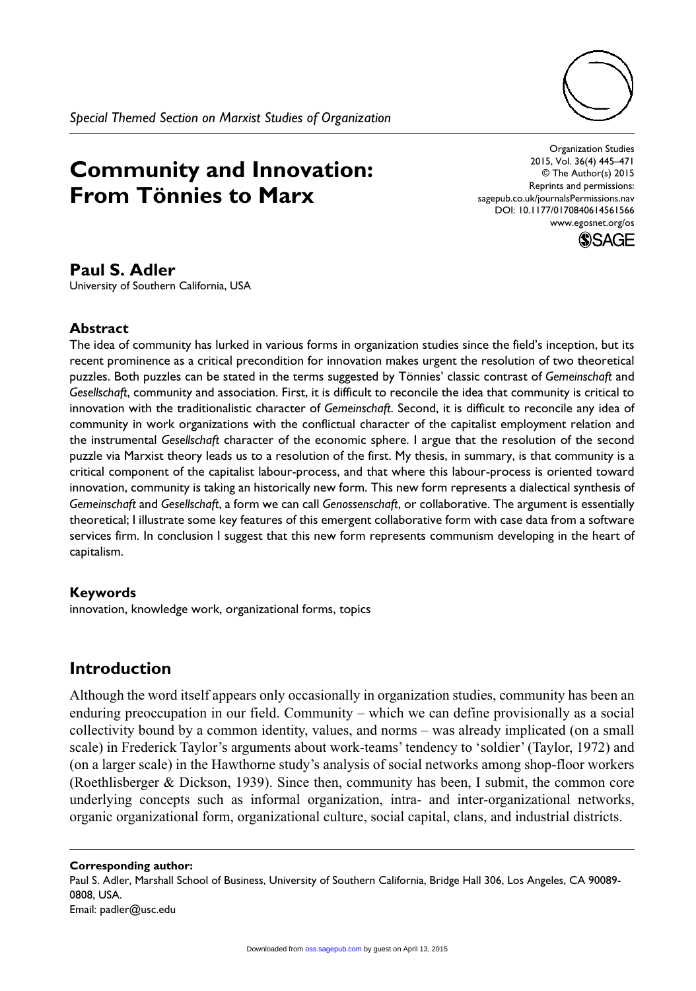

# **Community and Innovation: From Tönnies to Marx**

Organization Studies 2015, Vol. 36(4) 445–471 © The Author(s) 2015 Reprints and permissions: sagepub.co.uk/journalsPermissions.nav DOI: 10.1177/0170840614561566 www.egosnet.org/os



## **Paul S. Adler**

University of Southern California, USA

## **Abstract**

The idea of community has lurked in various forms in organization studies since the field's inception, but its recent prominence as a critical precondition for innovation makes urgent the resolution of two theoretical puzzles. Both puzzles can be stated in the terms suggested by Tönnies' classic contrast of *Gemeinschaft* and *Gesellschaft*, community and association. First, it is difficult to reconcile the idea that community is critical to innovation with the traditionalistic character of *Gemeinschaft*. Second, it is difficult to reconcile any idea of community in work organizations with the conflictual character of the capitalist employment relation and the instrumental *Gesellschaft* character of the economic sphere. I argue that the resolution of the second puzzle via Marxist theory leads us to a resolution of the first. My thesis, in summary, is that community is a critical component of the capitalist labour-process, and that where this labour-process is oriented toward innovation, community is taking an historically new form. This new form represents a dialectical synthesis of *Gemeinschaft* and *Gesellschaft*, a form we can call *Genossenschaft*, or collaborative. The argument is essentially theoretical; I illustrate some key features of this emergent collaborative form with case data from a software services firm. In conclusion I suggest that this new form represents communism developing in the heart of capitalism.

## **Keywords**

innovation, knowledge work, organizational forms, topics

# **Introduction**

Although the word itself appears only occasionally in organization studies, community has been an enduring preoccupation in our field. Community – which we can define provisionally as a social collectivity bound by a common identity, values, and norms – was already implicated (on a small scale) in Frederick Taylor's arguments about work-teams' tendency to 'soldier' (Taylor, 1972) and (on a larger scale) in the Hawthorne study's analysis of social networks among shop-floor workers (Roethlisberger & Dickson, 1939). Since then, community has been, I submit, the common core underlying concepts such as informal organization, intra- and inter-organizational networks, organic organizational form, organizational culture, social capital, clans, and industrial districts.

#### **Corresponding author:**

Paul S. Adler, Marshall School of Business, University of Southern California, Bridge Hall 306, Los Angeles, CA 90089- 0808, USA. Email: padler@usc.edu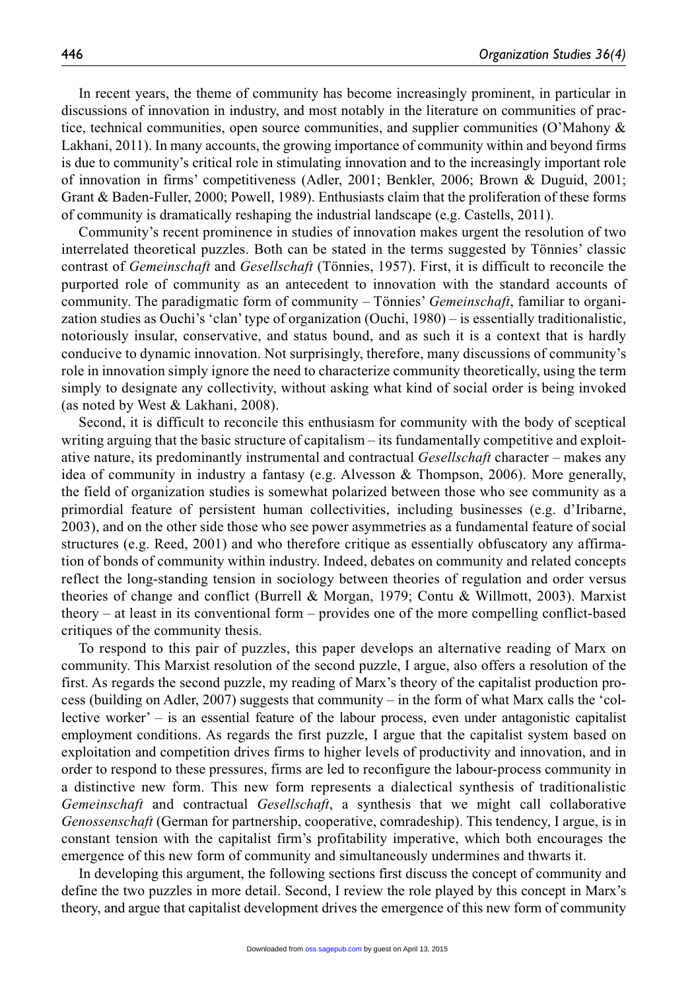In recent years, the theme of community has become increasingly prominent, in particular in discussions of innovation in industry, and most notably in the literature on communities of practice, technical communities, open source communities, and supplier communities (O'Mahony & Lakhani, 2011). In many accounts, the growing importance of community within and beyond firms is due to community's critical role in stimulating innovation and to the increasingly important role of innovation in firms' competitiveness (Adler, 2001; Benkler, 2006; Brown & Duguid, 2001; Grant & Baden-Fuller, 2000; Powell, 1989). Enthusiasts claim that the proliferation of these forms of community is dramatically reshaping the industrial landscape (e.g. Castells, 2011).

Community's recent prominence in studies of innovation makes urgent the resolution of two interrelated theoretical puzzles. Both can be stated in the terms suggested by Tönnies' classic contrast of *Gemeinschaft* and *Gesellschaft* (Tönnies, 1957). First, it is difficult to reconcile the purported role of community as an antecedent to innovation with the standard accounts of community. The paradigmatic form of community – Tönnies' *Gemeinschaft*, familiar to organization studies as Ouchi's 'clan' type of organization (Ouchi, 1980) – is essentially traditionalistic, notoriously insular, conservative, and status bound, and as such it is a context that is hardly conducive to dynamic innovation. Not surprisingly, therefore, many discussions of community's role in innovation simply ignore the need to characterize community theoretically, using the term simply to designate any collectivity, without asking what kind of social order is being invoked (as noted by West & Lakhani, 2008).

Second, it is difficult to reconcile this enthusiasm for community with the body of sceptical writing arguing that the basic structure of capitalism – its fundamentally competitive and exploitative nature, its predominantly instrumental and contractual *Gesellschaft* character – makes any idea of community in industry a fantasy (e.g. Alvesson & Thompson, 2006). More generally, the field of organization studies is somewhat polarized between those who see community as a primordial feature of persistent human collectivities, including businesses (e.g. d'Iribarne, 2003), and on the other side those who see power asymmetries as a fundamental feature of social structures (e.g. Reed, 2001) and who therefore critique as essentially obfuscatory any affirmation of bonds of community within industry. Indeed, debates on community and related concepts reflect the long-standing tension in sociology between theories of regulation and order versus theories of change and conflict (Burrell & Morgan, 1979; Contu & Willmott, 2003). Marxist theory – at least in its conventional form – provides one of the more compelling conflict-based critiques of the community thesis.

To respond to this pair of puzzles, this paper develops an alternative reading of Marx on community. This Marxist resolution of the second puzzle, I argue, also offers a resolution of the first. As regards the second puzzle, my reading of Marx's theory of the capitalist production process (building on Adler, 2007) suggests that community – in the form of what Marx calls the 'collective worker' – is an essential feature of the labour process, even under antagonistic capitalist employment conditions. As regards the first puzzle, I argue that the capitalist system based on exploitation and competition drives firms to higher levels of productivity and innovation, and in order to respond to these pressures, firms are led to reconfigure the labour-process community in a distinctive new form. This new form represents a dialectical synthesis of traditionalistic *Gemeinschaft* and contractual *Gesellschaft*, a synthesis that we might call collaborative *Genossenschaft* (German for partnership, cooperative, comradeship). This tendency, I argue, is in constant tension with the capitalist firm's profitability imperative, which both encourages the emergence of this new form of community and simultaneously undermines and thwarts it.

In developing this argument, the following sections first discuss the concept of community and define the two puzzles in more detail. Second, I review the role played by this concept in Marx's theory, and argue that capitalist development drives the emergence of this new form of community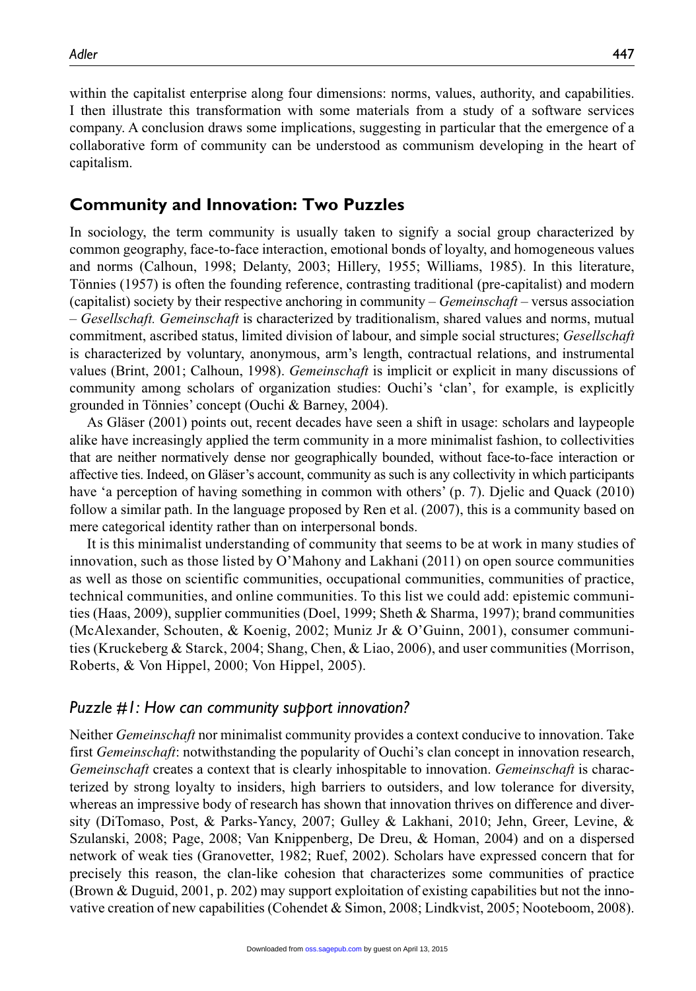within the capitalist enterprise along four dimensions: norms, values, authority, and capabilities. I then illustrate this transformation with some materials from a study of a software services company. A conclusion draws some implications, suggesting in particular that the emergence of a collaborative form of community can be understood as communism developing in the heart of capitalism.

## **Community and Innovation: Two Puzzles**

In sociology, the term community is usually taken to signify a social group characterized by common geography, face-to-face interaction, emotional bonds of loyalty, and homogeneous values and norms (Calhoun, 1998; Delanty, 2003; Hillery, 1955; Williams, 1985). In this literature, Tönnies (1957) is often the founding reference, contrasting traditional (pre-capitalist) and modern (capitalist) society by their respective anchoring in community – *Gemeinschaft* – versus association – *Gesellschaft. Gemeinschaft* is characterized by traditionalism, shared values and norms, mutual commitment, ascribed status, limited division of labour, and simple social structures; *Gesellschaft* is characterized by voluntary, anonymous, arm's length, contractual relations, and instrumental values (Brint, 2001; Calhoun, 1998). *Gemeinschaft* is implicit or explicit in many discussions of community among scholars of organization studies: Ouchi's 'clan', for example, is explicitly grounded in Tönnies' concept (Ouchi & Barney, 2004).

As Gläser (2001) points out, recent decades have seen a shift in usage: scholars and laypeople alike have increasingly applied the term community in a more minimalist fashion, to collectivities that are neither normatively dense nor geographically bounded, without face-to-face interaction or affective ties. Indeed, on Gläser's account, community as such is any collectivity in which participants have 'a perception of having something in common with others' (p. 7). Djelic and Quack (2010) follow a similar path. In the language proposed by Ren et al. (2007), this is a community based on mere categorical identity rather than on interpersonal bonds.

It is this minimalist understanding of community that seems to be at work in many studies of innovation, such as those listed by O'Mahony and Lakhani (2011) on open source communities as well as those on scientific communities, occupational communities, communities of practice, technical communities, and online communities. To this list we could add: epistemic communities (Haas, 2009), supplier communities (Doel, 1999; Sheth & Sharma, 1997); brand communities (McAlexander, Schouten, & Koenig, 2002; Muniz Jr & O'Guinn, 2001), consumer communities (Kruckeberg & Starck, 2004; Shang, Chen, & Liao, 2006), and user communities (Morrison, Roberts, & Von Hippel, 2000; Von Hippel, 2005).

#### *Puzzle #1: How can community support innovation?*

Neither *Gemeinschaft* nor minimalist community provides a context conducive to innovation. Take first *Gemeinschaft*: notwithstanding the popularity of Ouchi's clan concept in innovation research, *Gemeinschaft* creates a context that is clearly inhospitable to innovation. *Gemeinschaft* is characterized by strong loyalty to insiders, high barriers to outsiders, and low tolerance for diversity, whereas an impressive body of research has shown that innovation thrives on difference and diversity (DiTomaso, Post, & Parks-Yancy, 2007; Gulley & Lakhani, 2010; Jehn, Greer, Levine, & Szulanski, 2008; Page, 2008; Van Knippenberg, De Dreu, & Homan, 2004) and on a dispersed network of weak ties (Granovetter, 1982; Ruef, 2002). Scholars have expressed concern that for precisely this reason, the clan-like cohesion that characterizes some communities of practice (Brown & Duguid, 2001, p. 202) may support exploitation of existing capabilities but not the innovative creation of new capabilities (Cohendet & Simon, 2008; Lindkvist, 2005; Nooteboom, 2008).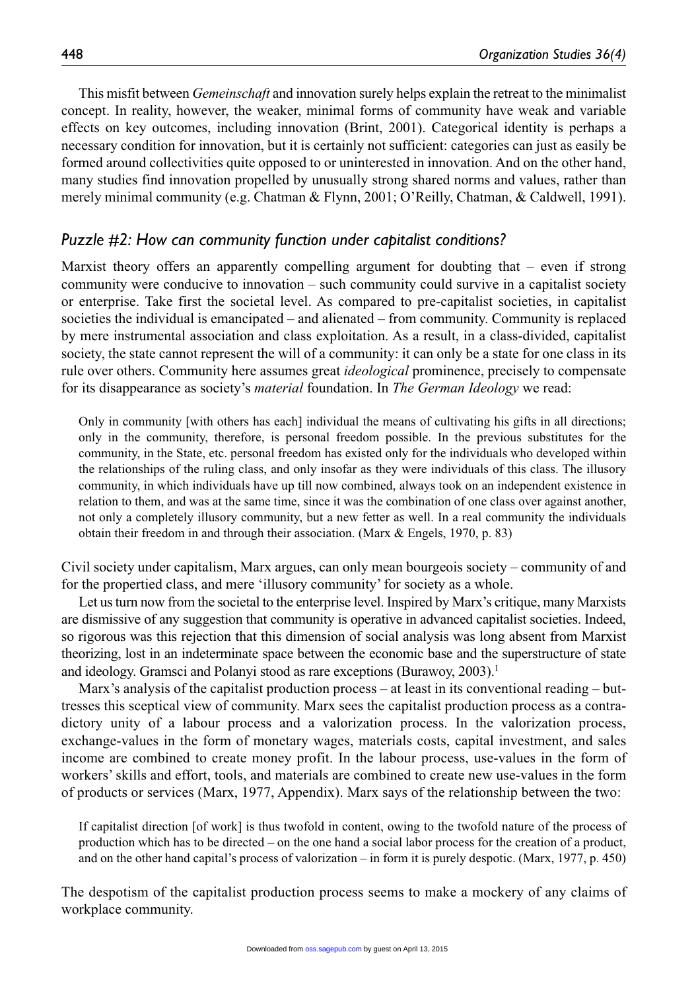This misfit between *Gemeinschaft* and innovation surely helps explain the retreat to the minimalist concept. In reality, however, the weaker, minimal forms of community have weak and variable effects on key outcomes, including innovation (Brint, 2001). Categorical identity is perhaps a necessary condition for innovation, but it is certainly not sufficient: categories can just as easily be formed around collectivities quite opposed to or uninterested in innovation. And on the other hand, many studies find innovation propelled by unusually strong shared norms and values, rather than merely minimal community (e.g. Chatman & Flynn, 2001; O'Reilly, Chatman, & Caldwell, 1991).

## *Puzzle #2: How can community function under capitalist conditions?*

Marxist theory offers an apparently compelling argument for doubting that – even if strong community were conducive to innovation – such community could survive in a capitalist society or enterprise. Take first the societal level. As compared to pre-capitalist societies, in capitalist societies the individual is emancipated – and alienated – from community. Community is replaced by mere instrumental association and class exploitation. As a result, in a class-divided, capitalist society, the state cannot represent the will of a community: it can only be a state for one class in its rule over others. Community here assumes great *ideological* prominence, precisely to compensate for its disappearance as society's *material* foundation. In *The German Ideology* we read:

Only in community [with others has each] individual the means of cultivating his gifts in all directions; only in the community, therefore, is personal freedom possible. In the previous substitutes for the community, in the State, etc. personal freedom has existed only for the individuals who developed within the relationships of the ruling class, and only insofar as they were individuals of this class. The illusory community, in which individuals have up till now combined, always took on an independent existence in relation to them, and was at the same time, since it was the combination of one class over against another, not only a completely illusory community, but a new fetter as well. In a real community the individuals obtain their freedom in and through their association. (Marx & Engels, 1970, p. 83)

Civil society under capitalism, Marx argues, can only mean bourgeois society – community of and for the propertied class, and mere 'illusory community' for society as a whole.

Let us turn now from the societal to the enterprise level. Inspired by Marx's critique, many Marxists are dismissive of any suggestion that community is operative in advanced capitalist societies. Indeed, so rigorous was this rejection that this dimension of social analysis was long absent from Marxist theorizing, lost in an indeterminate space between the economic base and the superstructure of state and ideology. Gramsci and Polanyi stood as rare exceptions (Burawoy, 2003).<sup>1</sup>

Marx's analysis of the capitalist production process – at least in its conventional reading – buttresses this sceptical view of community. Marx sees the capitalist production process as a contradictory unity of a labour process and a valorization process. In the valorization process, exchange-values in the form of monetary wages, materials costs, capital investment, and sales income are combined to create money profit. In the labour process, use-values in the form of workers' skills and effort, tools, and materials are combined to create new use-values in the form of products or services (Marx, 1977, Appendix). Marx says of the relationship between the two:

If capitalist direction [of work] is thus twofold in content, owing to the twofold nature of the process of production which has to be directed – on the one hand a social labor process for the creation of a product, and on the other hand capital's process of valorization – in form it is purely despotic. (Marx, 1977, p. 450)

The despotism of the capitalist production process seems to make a mockery of any claims of workplace community.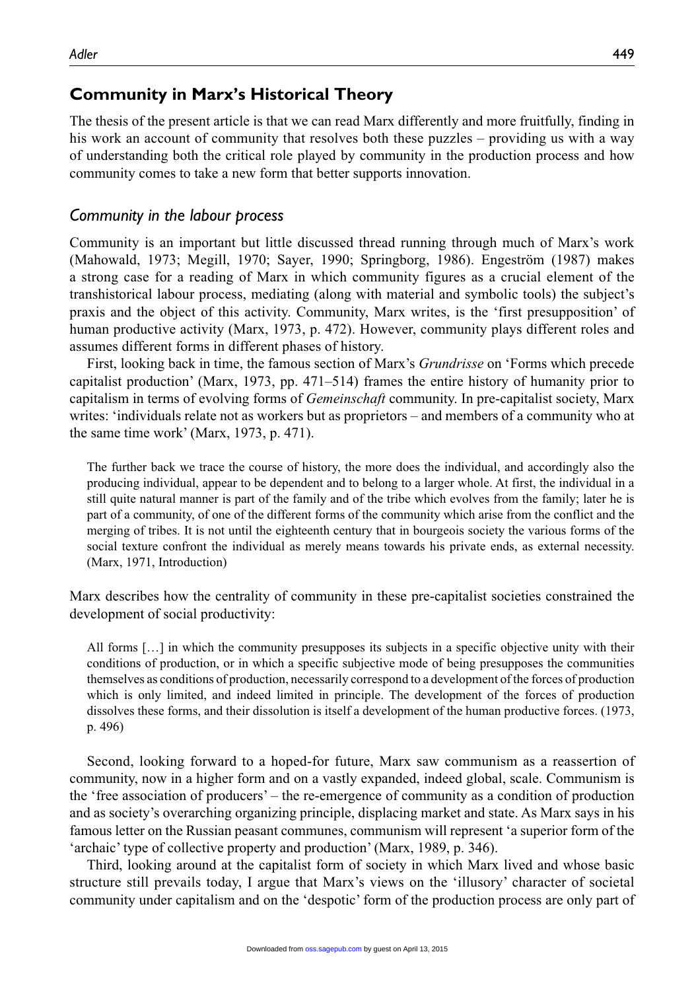# **Community in Marx's Historical Theory**

The thesis of the present article is that we can read Marx differently and more fruitfully, finding in his work an account of community that resolves both these puzzles – providing us with a way of understanding both the critical role played by community in the production process and how community comes to take a new form that better supports innovation.

## *Community in the labour process*

Community is an important but little discussed thread running through much of Marx's work (Mahowald, 1973; Megill, 1970; Sayer, 1990; Springborg, 1986). Engeström (1987) makes a strong case for a reading of Marx in which community figures as a crucial element of the transhistorical labour process, mediating (along with material and symbolic tools) the subject's praxis and the object of this activity. Community, Marx writes, is the 'first presupposition' of human productive activity (Marx, 1973, p. 472). However, community plays different roles and assumes different forms in different phases of history.

First, looking back in time, the famous section of Marx's *Grundrisse* on 'Forms which precede capitalist production' (Marx, 1973, pp. 471–514) frames the entire history of humanity prior to capitalism in terms of evolving forms of *Gemeinschaft* community. In pre-capitalist society, Marx writes: 'individuals relate not as workers but as proprietors – and members of a community who at the same time work' (Marx, 1973, p. 471).

The further back we trace the course of history, the more does the individual, and accordingly also the producing individual, appear to be dependent and to belong to a larger whole. At first, the individual in a still quite natural manner is part of the family and of the tribe which evolves from the family; later he is part of a community, of one of the different forms of the community which arise from the conflict and the merging of tribes. It is not until the eighteenth century that in bourgeois society the various forms of the social texture confront the individual as merely means towards his private ends, as external necessity. (Marx, 1971, Introduction)

Marx describes how the centrality of community in these pre-capitalist societies constrained the development of social productivity:

All forms [...] in which the community presupposes its subjects in a specific objective unity with their conditions of production, or in which a specific subjective mode of being presupposes the communities themselves as conditions of production, necessarily correspond to a development of the forces of production which is only limited, and indeed limited in principle. The development of the forces of production dissolves these forms, and their dissolution is itself a development of the human productive forces. (1973, p. 496)

Second, looking forward to a hoped-for future, Marx saw communism as a reassertion of community, now in a higher form and on a vastly expanded, indeed global, scale. Communism is the 'free association of producers' – the re-emergence of community as a condition of production and as society's overarching organizing principle, displacing market and state. As Marx says in his famous letter on the Russian peasant communes, communism will represent 'a superior form of the 'archaic' type of collective property and production' (Marx, 1989, p. 346).

Third, looking around at the capitalist form of society in which Marx lived and whose basic structure still prevails today, I argue that Marx's views on the 'illusory' character of societal community under capitalism and on the 'despotic' form of the production process are only part of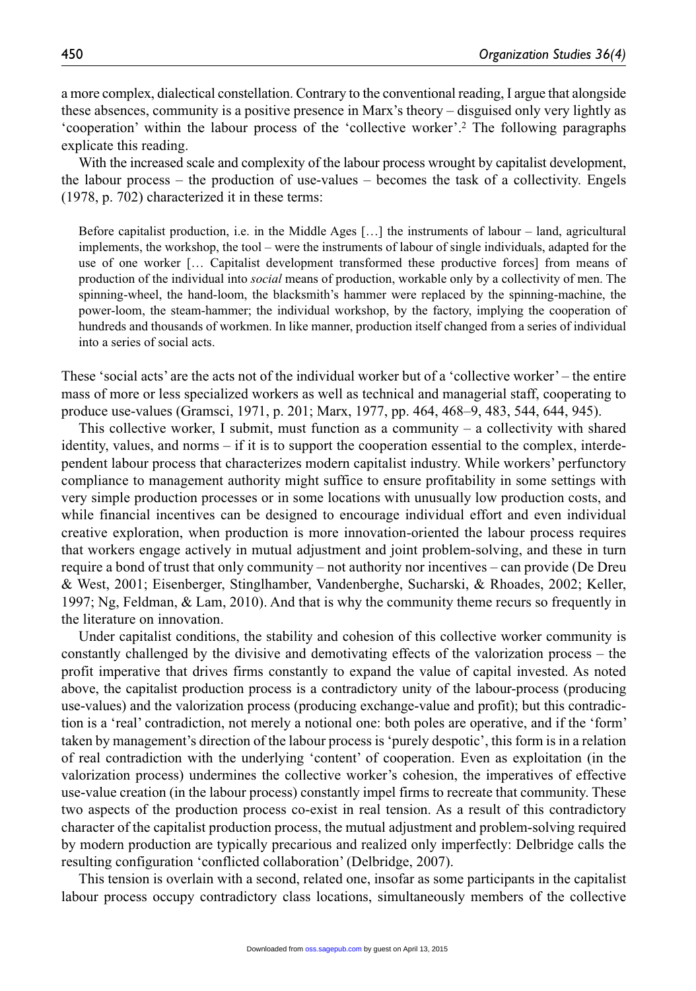a more complex, dialectical constellation. Contrary to the conventional reading, I argue that alongside these absences, community is a positive presence in Marx's theory – disguised only very lightly as 'cooperation' within the labour process of the 'collective worker'.2 The following paragraphs explicate this reading.

With the increased scale and complexity of the labour process wrought by capitalist development, the labour process – the production of use-values – becomes the task of a collectivity. Engels (1978, p. 702) characterized it in these terms:

Before capitalist production, i.e. in the Middle Ages […] the instruments of labour – land, agricultural implements, the workshop, the tool – were the instruments of labour of single individuals, adapted for the use of one worker [… Capitalist development transformed these productive forces] from means of production of the individual into *social* means of production, workable only by a collectivity of men. The spinning-wheel, the hand-loom, the blacksmith's hammer were replaced by the spinning-machine, the power-loom, the steam-hammer; the individual workshop, by the factory, implying the cooperation of hundreds and thousands of workmen. In like manner, production itself changed from a series of individual into a series of social acts.

These 'social acts' are the acts not of the individual worker but of a 'collective worker' – the entire mass of more or less specialized workers as well as technical and managerial staff, cooperating to produce use-values (Gramsci, 1971, p. 201; Marx, 1977, pp. 464, 468–9, 483, 544, 644, 945).

This collective worker, I submit, must function as a community – a collectivity with shared identity, values, and norms – if it is to support the cooperation essential to the complex, interdependent labour process that characterizes modern capitalist industry. While workers' perfunctory compliance to management authority might suffice to ensure profitability in some settings with very simple production processes or in some locations with unusually low production costs, and while financial incentives can be designed to encourage individual effort and even individual creative exploration, when production is more innovation-oriented the labour process requires that workers engage actively in mutual adjustment and joint problem-solving, and these in turn require a bond of trust that only community – not authority nor incentives – can provide (De Dreu & West, 2001; Eisenberger, Stinglhamber, Vandenberghe, Sucharski, & Rhoades, 2002; Keller, 1997; Ng, Feldman,  $\&$  Lam, 2010). And that is why the community theme recurs so frequently in the literature on innovation.

Under capitalist conditions, the stability and cohesion of this collective worker community is constantly challenged by the divisive and demotivating effects of the valorization process – the profit imperative that drives firms constantly to expand the value of capital invested. As noted above, the capitalist production process is a contradictory unity of the labour-process (producing use-values) and the valorization process (producing exchange-value and profit); but this contradiction is a 'real' contradiction, not merely a notional one: both poles are operative, and if the 'form' taken by management's direction of the labour process is 'purely despotic', this form is in a relation of real contradiction with the underlying 'content' of cooperation. Even as exploitation (in the valorization process) undermines the collective worker's cohesion, the imperatives of effective use-value creation (in the labour process) constantly impel firms to recreate that community. These two aspects of the production process co-exist in real tension. As a result of this contradictory character of the capitalist production process, the mutual adjustment and problem-solving required by modern production are typically precarious and realized only imperfectly: Delbridge calls the resulting configuration 'conflicted collaboration' (Delbridge, 2007).

This tension is overlain with a second, related one, insofar as some participants in the capitalist labour process occupy contradictory class locations, simultaneously members of the collective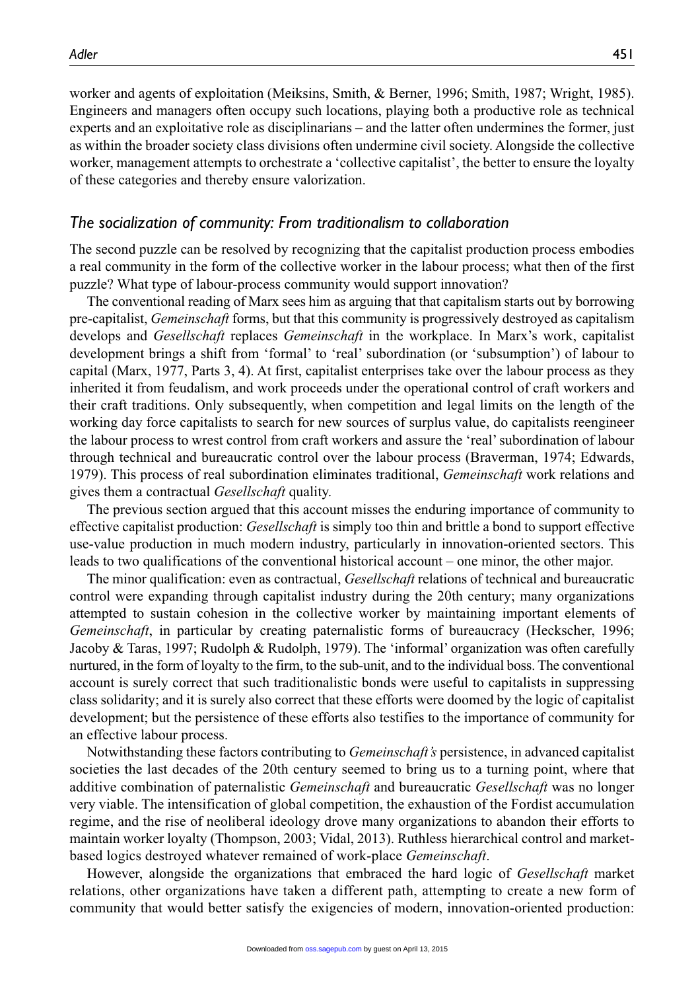worker and agents of exploitation (Meiksins, Smith, & Berner, 1996; Smith, 1987; Wright, 1985). Engineers and managers often occupy such locations, playing both a productive role as technical experts and an exploitative role as disciplinarians – and the latter often undermines the former, just as within the broader society class divisions often undermine civil society. Alongside the collective worker, management attempts to orchestrate a 'collective capitalist', the better to ensure the loyalty of these categories and thereby ensure valorization.

#### *The socialization of community: From traditionalism to collaboration*

The second puzzle can be resolved by recognizing that the capitalist production process embodies a real community in the form of the collective worker in the labour process; what then of the first puzzle? What type of labour-process community would support innovation?

The conventional reading of Marx sees him as arguing that that capitalism starts out by borrowing pre-capitalist, *Gemeinschaft* forms, but that this community is progressively destroyed as capitalism develops and *Gesellschaft* replaces *Gemeinschaft* in the workplace. In Marx's work, capitalist development brings a shift from 'formal' to 'real' subordination (or 'subsumption') of labour to capital (Marx, 1977, Parts 3, 4). At first, capitalist enterprises take over the labour process as they inherited it from feudalism, and work proceeds under the operational control of craft workers and their craft traditions. Only subsequently, when competition and legal limits on the length of the working day force capitalists to search for new sources of surplus value, do capitalists reengineer the labour process to wrest control from craft workers and assure the 'real' subordination of labour through technical and bureaucratic control over the labour process (Braverman, 1974; Edwards, 1979). This process of real subordination eliminates traditional, *Gemeinschaft* work relations and gives them a contractual *Gesellschaft* quality.

The previous section argued that this account misses the enduring importance of community to effective capitalist production: *Gesellschaft* is simply too thin and brittle a bond to support effective use-value production in much modern industry, particularly in innovation-oriented sectors. This leads to two qualifications of the conventional historical account – one minor, the other major.

The minor qualification: even as contractual, *Gesellschaft* relations of technical and bureaucratic control were expanding through capitalist industry during the 20th century; many organizations attempted to sustain cohesion in the collective worker by maintaining important elements of *Gemeinschaft*, in particular by creating paternalistic forms of bureaucracy (Heckscher, 1996; Jacoby & Taras, 1997; Rudolph & Rudolph, 1979). The 'informal' organization was often carefully nurtured, in the form of loyalty to the firm, to the sub-unit, and to the individual boss. The conventional account is surely correct that such traditionalistic bonds were useful to capitalists in suppressing class solidarity; and it is surely also correct that these efforts were doomed by the logic of capitalist development; but the persistence of these efforts also testifies to the importance of community for an effective labour process.

Notwithstanding these factors contributing to *Gemeinschaft's* persistence, in advanced capitalist societies the last decades of the 20th century seemed to bring us to a turning point, where that additive combination of paternalistic *Gemeinschaft* and bureaucratic *Gesellschaft* was no longer very viable. The intensification of global competition, the exhaustion of the Fordist accumulation regime, and the rise of neoliberal ideology drove many organizations to abandon their efforts to maintain worker loyalty (Thompson, 2003; Vidal, 2013). Ruthless hierarchical control and marketbased logics destroyed whatever remained of work-place *Gemeinschaft*.

However, alongside the organizations that embraced the hard logic of *Gesellschaft* market relations, other organizations have taken a different path, attempting to create a new form of community that would better satisfy the exigencies of modern, innovation-oriented production: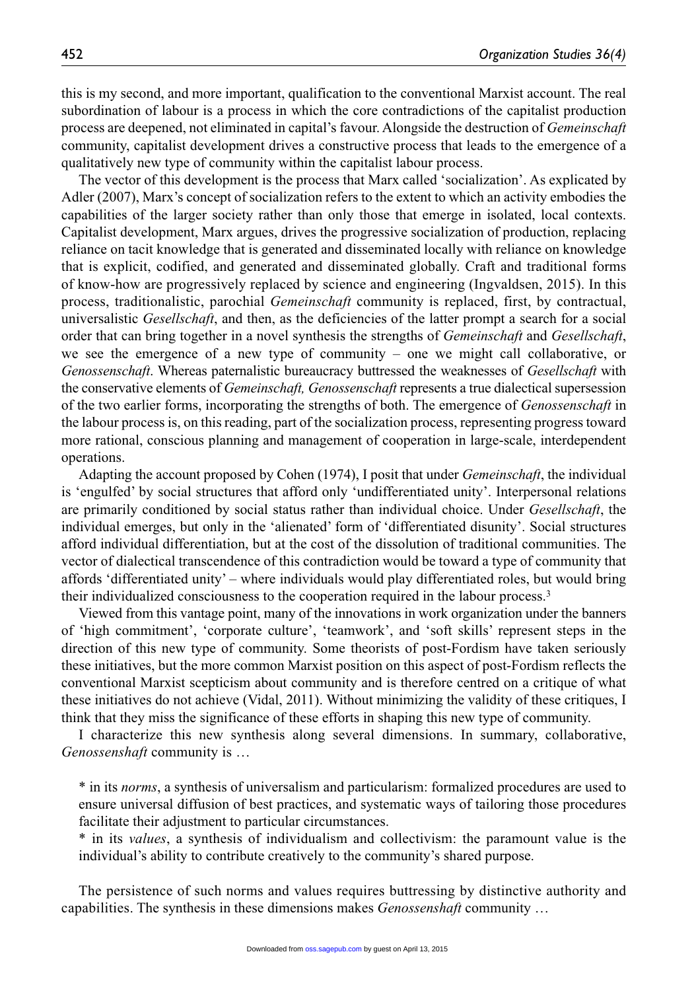this is my second, and more important, qualification to the conventional Marxist account. The real subordination of labour is a process in which the core contradictions of the capitalist production process are deepened, not eliminated in capital's favour. Alongside the destruction of *Gemeinschaft* community, capitalist development drives a constructive process that leads to the emergence of a qualitatively new type of community within the capitalist labour process.

The vector of this development is the process that Marx called 'socialization'. As explicated by Adler (2007), Marx's concept of socialization refers to the extent to which an activity embodies the capabilities of the larger society rather than only those that emerge in isolated, local contexts. Capitalist development, Marx argues, drives the progressive socialization of production, replacing reliance on tacit knowledge that is generated and disseminated locally with reliance on knowledge that is explicit, codified, and generated and disseminated globally. Craft and traditional forms of know-how are progressively replaced by science and engineering (Ingvaldsen, 2015). In this process, traditionalistic, parochial *Gemeinschaft* community is replaced, first, by contractual, universalistic *Gesellschaft*, and then, as the deficiencies of the latter prompt a search for a social order that can bring together in a novel synthesis the strengths of *Gemeinschaft* and *Gesellschaft*, we see the emergence of a new type of community – one we might call collaborative, or *Genossenschaft*. Whereas paternalistic bureaucracy buttressed the weaknesses of *Gesellschaft* with the conservative elements of *Gemeinschaft, Genossenschaft* represents a true dialectical supersession of the two earlier forms, incorporating the strengths of both. The emergence of *Genossenschaft* in the labour process is, on this reading, part of the socialization process, representing progress toward more rational, conscious planning and management of cooperation in large-scale, interdependent operations.

Adapting the account proposed by Cohen (1974), I posit that under *Gemeinschaft*, the individual is 'engulfed' by social structures that afford only 'undifferentiated unity'. Interpersonal relations are primarily conditioned by social status rather than individual choice. Under *Gesellschaft*, the individual emerges, but only in the 'alienated' form of 'differentiated disunity'. Social structures afford individual differentiation, but at the cost of the dissolution of traditional communities. The vector of dialectical transcendence of this contradiction would be toward a type of community that affords 'differentiated unity' – where individuals would play differentiated roles, but would bring their individualized consciousness to the cooperation required in the labour process.3

Viewed from this vantage point, many of the innovations in work organization under the banners of 'high commitment', 'corporate culture', 'teamwork', and 'soft skills' represent steps in the direction of this new type of community. Some theorists of post-Fordism have taken seriously these initiatives, but the more common Marxist position on this aspect of post-Fordism reflects the conventional Marxist scepticism about community and is therefore centred on a critique of what these initiatives do not achieve (Vidal, 2011). Without minimizing the validity of these critiques, I think that they miss the significance of these efforts in shaping this new type of community.

I characterize this new synthesis along several dimensions. In summary, collaborative, *Genossenshaft* community is …

\* in its *norms*, a synthesis of universalism and particularism: formalized procedures are used to ensure universal diffusion of best practices, and systematic ways of tailoring those procedures facilitate their adjustment to particular circumstances.

\* in its *values*, a synthesis of individualism and collectivism: the paramount value is the individual's ability to contribute creatively to the community's shared purpose.

The persistence of such norms and values requires buttressing by distinctive authority and capabilities. The synthesis in these dimensions makes *Genossenshaft* community …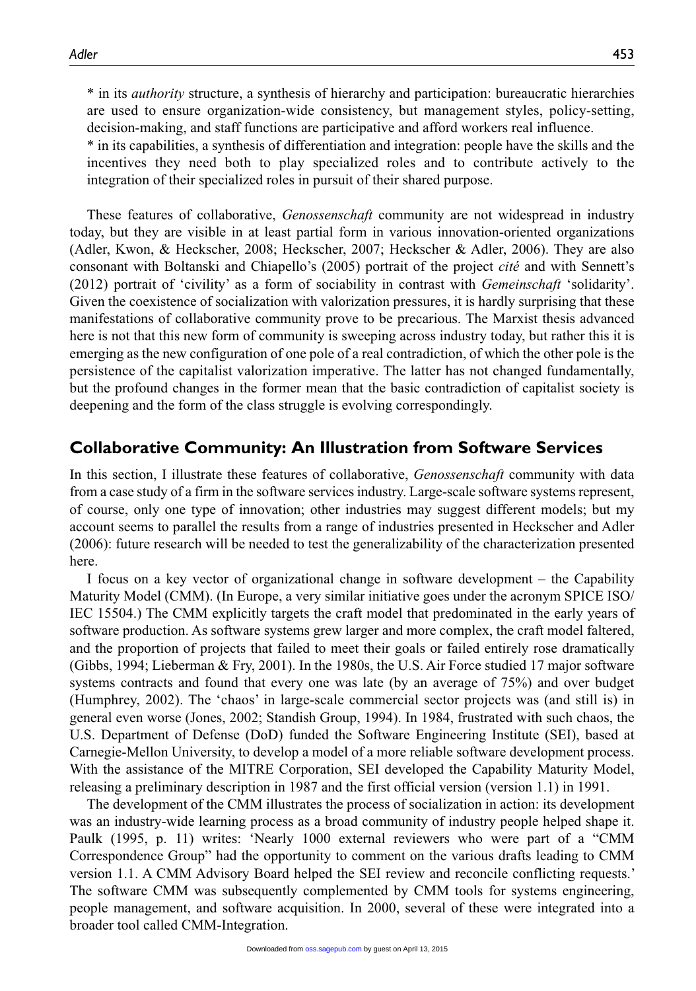\* in its *authority* structure, a synthesis of hierarchy and participation: bureaucratic hierarchies are used to ensure organization-wide consistency, but management styles, policy-setting, decision-making, and staff functions are participative and afford workers real influence.

\* in its capabilities, a synthesis of differentiation and integration: people have the skills and the incentives they need both to play specialized roles and to contribute actively to the integration of their specialized roles in pursuit of their shared purpose.

These features of collaborative, *Genossenschaft* community are not widespread in industry today, but they are visible in at least partial form in various innovation-oriented organizations (Adler, Kwon, & Heckscher, 2008; Heckscher, 2007; Heckscher & Adler, 2006). They are also consonant with Boltanski and Chiapello's (2005) portrait of the project *cité* and with Sennett's (2012) portrait of 'civility' as a form of sociability in contrast with *Gemeinschaft* 'solidarity'. Given the coexistence of socialization with valorization pressures, it is hardly surprising that these manifestations of collaborative community prove to be precarious. The Marxist thesis advanced here is not that this new form of community is sweeping across industry today, but rather this it is emerging as the new configuration of one pole of a real contradiction, of which the other pole is the persistence of the capitalist valorization imperative. The latter has not changed fundamentally, but the profound changes in the former mean that the basic contradiction of capitalist society is deepening and the form of the class struggle is evolving correspondingly.

## **Collaborative Community: An Illustration from Software Services**

In this section, I illustrate these features of collaborative, *Genossenschaft* community with data from a case study of a firm in the software services industry. Large-scale software systems represent, of course, only one type of innovation; other industries may suggest different models; but my account seems to parallel the results from a range of industries presented in Heckscher and Adler (2006): future research will be needed to test the generalizability of the characterization presented here.

I focus on a key vector of organizational change in software development – the Capability Maturity Model (CMM). (In Europe, a very similar initiative goes under the acronym SPICE ISO/ IEC 15504.) The CMM explicitly targets the craft model that predominated in the early years of software production. As software systems grew larger and more complex, the craft model faltered, and the proportion of projects that failed to meet their goals or failed entirely rose dramatically (Gibbs, 1994; Lieberman & Fry, 2001). In the 1980s, the U.S. Air Force studied 17 major software systems contracts and found that every one was late (by an average of 75%) and over budget (Humphrey, 2002). The 'chaos' in large-scale commercial sector projects was (and still is) in general even worse (Jones, 2002; Standish Group, 1994). In 1984, frustrated with such chaos, the U.S. Department of Defense (DoD) funded the Software Engineering Institute (SEI), based at Carnegie-Mellon University, to develop a model of a more reliable software development process. With the assistance of the MITRE Corporation, SEI developed the Capability Maturity Model, releasing a preliminary description in 1987 and the first official version (version 1.1) in 1991.

The development of the CMM illustrates the process of socialization in action: its development was an industry-wide learning process as a broad community of industry people helped shape it. Paulk (1995, p. 11) writes: 'Nearly 1000 external reviewers who were part of a "CMM Correspondence Group" had the opportunity to comment on the various drafts leading to CMM version 1.1. A CMM Advisory Board helped the SEI review and reconcile conflicting requests.' The software CMM was subsequently complemented by CMM tools for systems engineering, people management, and software acquisition. In 2000, several of these were integrated into a broader tool called CMM-Integration.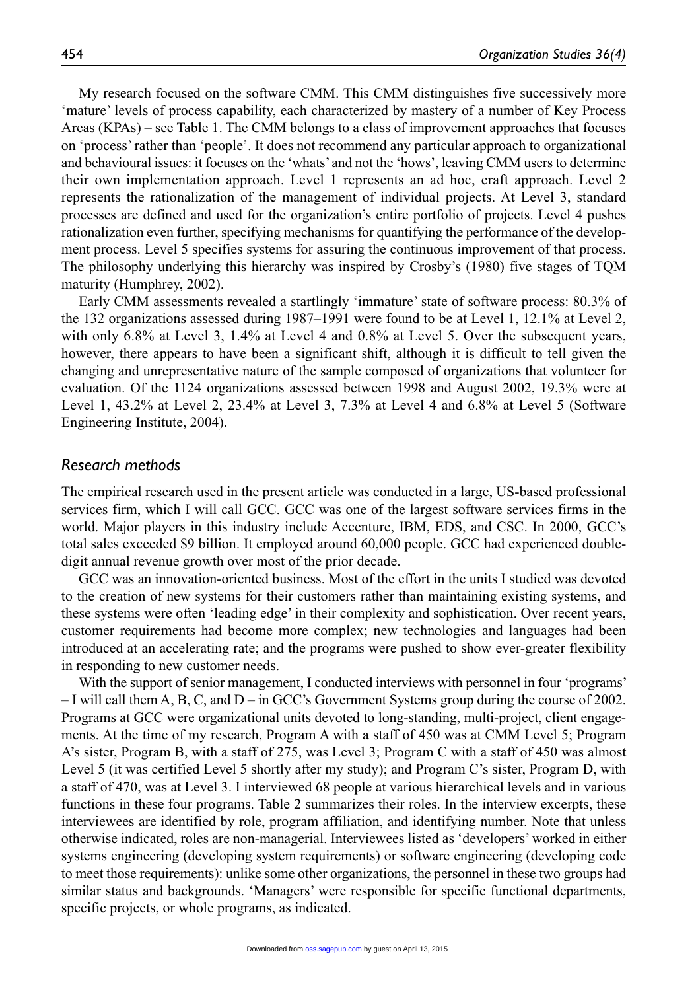My research focused on the software CMM. This CMM distinguishes five successively more 'mature' levels of process capability, each characterized by mastery of a number of Key Process Areas (KPAs) – see Table 1. The CMM belongs to a class of improvement approaches that focuses on 'process' rather than 'people'. It does not recommend any particular approach to organizational and behavioural issues: it focuses on the 'whats' and not the 'hows', leaving CMM users to determine their own implementation approach. Level 1 represents an ad hoc, craft approach. Level 2 represents the rationalization of the management of individual projects. At Level 3, standard processes are defined and used for the organization's entire portfolio of projects. Level 4 pushes rationalization even further, specifying mechanisms for quantifying the performance of the development process. Level 5 specifies systems for assuring the continuous improvement of that process. The philosophy underlying this hierarchy was inspired by Crosby's (1980) five stages of TQM maturity (Humphrey, 2002).

Early CMM assessments revealed a startlingly 'immature' state of software process: 80.3% of the 132 organizations assessed during 1987–1991 were found to be at Level 1, 12.1% at Level 2, with only 6.8% at Level 3, 1.4% at Level 4 and 0.8% at Level 5. Over the subsequent years, however, there appears to have been a significant shift, although it is difficult to tell given the changing and unrepresentative nature of the sample composed of organizations that volunteer for evaluation. Of the 1124 organizations assessed between 1998 and August 2002, 19.3% were at Level 1, 43.2% at Level 2, 23.4% at Level 3, 7.3% at Level 4 and 6.8% at Level 5 (Software Engineering Institute, 2004).

#### *Research methods*

The empirical research used in the present article was conducted in a large, US-based professional services firm, which I will call GCC. GCC was one of the largest software services firms in the world. Major players in this industry include Accenture, IBM, EDS, and CSC. In 2000, GCC's total sales exceeded \$9 billion. It employed around 60,000 people. GCC had experienced doubledigit annual revenue growth over most of the prior decade.

GCC was an innovation-oriented business. Most of the effort in the units I studied was devoted to the creation of new systems for their customers rather than maintaining existing systems, and these systems were often 'leading edge' in their complexity and sophistication. Over recent years, customer requirements had become more complex; new technologies and languages had been introduced at an accelerating rate; and the programs were pushed to show ever-greater flexibility in responding to new customer needs.

With the support of senior management, I conducted interviews with personnel in four 'programs' – I will call them A, B, C, and D – in GCC's Government Systems group during the course of 2002. Programs at GCC were organizational units devoted to long-standing, multi-project, client engagements. At the time of my research, Program A with a staff of 450 was at CMM Level 5; Program A's sister, Program B, with a staff of 275, was Level 3; Program C with a staff of 450 was almost Level 5 (it was certified Level 5 shortly after my study); and Program C's sister, Program D, with a staff of 470, was at Level 3. I interviewed 68 people at various hierarchical levels and in various functions in these four programs. Table 2 summarizes their roles. In the interview excerpts, these interviewees are identified by role, program affiliation, and identifying number. Note that unless otherwise indicated, roles are non-managerial. Interviewees listed as 'developers' worked in either systems engineering (developing system requirements) or software engineering (developing code to meet those requirements): unlike some other organizations, the personnel in these two groups had similar status and backgrounds. 'Managers' were responsible for specific functional departments, specific projects, or whole programs, as indicated.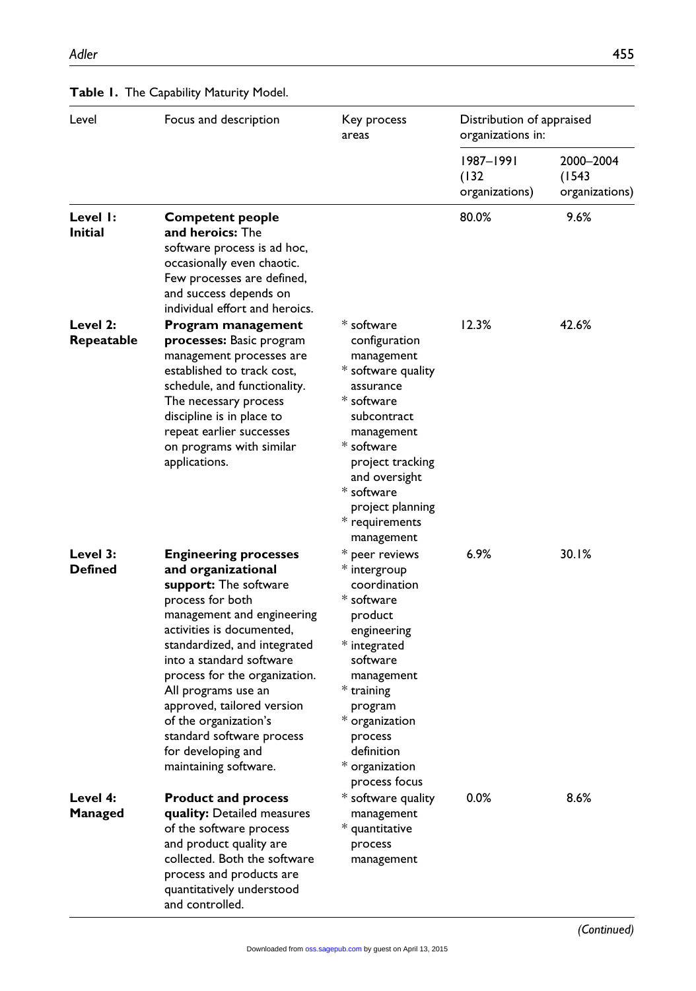| Level                      | Focus and description                                                                                                                                                                                                                                                                                                                                                                                             | Key process<br>areas                                                                                                                                                                                                                                                     | Distribution of appraised<br>organizations in: |                                       |
|----------------------------|-------------------------------------------------------------------------------------------------------------------------------------------------------------------------------------------------------------------------------------------------------------------------------------------------------------------------------------------------------------------------------------------------------------------|--------------------------------------------------------------------------------------------------------------------------------------------------------------------------------------------------------------------------------------------------------------------------|------------------------------------------------|---------------------------------------|
|                            |                                                                                                                                                                                                                                                                                                                                                                                                                   |                                                                                                                                                                                                                                                                          | 1987–1991<br>(132)<br>organizations)           | 2000-2004<br>(1543)<br>organizations) |
| Level I:<br><b>Initial</b> | <b>Competent people</b><br><b>and heroics:</b> The<br>software process is ad hoc,<br>occasionally even chaotic.<br>Few processes are defined,<br>and success depends on<br>individual effort and heroics.                                                                                                                                                                                                         |                                                                                                                                                                                                                                                                          | 80.0%                                          | 9.6%                                  |
| Level 2:<br>Repeatable     | Program management<br>processes: Basic program<br>management processes are<br>established to track cost,<br>schedule, and functionality.<br>The necessary process<br>discipline is in place to<br>repeat earlier successes<br>on programs with similar<br>applications.                                                                                                                                           | * software<br>configuration<br>management<br>* software quality<br>assurance<br>* software<br>subcontract<br>management<br>$\displaystyle{^*}$ software<br>project tracking<br>and oversight<br>$\displaystyle{^*}$ software<br>project planning<br>* requirements       | 12.3%                                          | 42.6%                                 |
| Level 3:<br>Defined        | <b>Engineering processes</b><br>and organizational<br>support: The software<br>process for both<br>management and engineering<br>activities is documented,<br>standardized, and integrated<br>into a standard software<br>process for the organization.<br>All programs use an<br>approved, tailored version<br>of the organization's<br>standard software process<br>for developing and<br>maintaining software. | management<br>* peer reviews<br>* intergroup<br>coordination<br>$\displaystyle{ }^*$ software<br>product<br>engineering<br>* integrated<br>software<br>management<br>* training<br>program<br>* organization<br>process<br>definition<br>* organization<br>process focus | $6.9\%$                                        | 30.1%                                 |
| Level 4:<br>Managed        | <b>Product and process</b><br>quality: Detailed measures<br>of the software process<br>and product quality are<br>collected. Both the software<br>process and products are<br>quantitatively understood<br>and controlled.                                                                                                                                                                                        | * software quality<br>management<br>* quantitative<br>process<br>management                                                                                                                                                                                              | 0.0%                                           | 8.6%                                  |

#### **Table 1.** The Capability Maturity Model.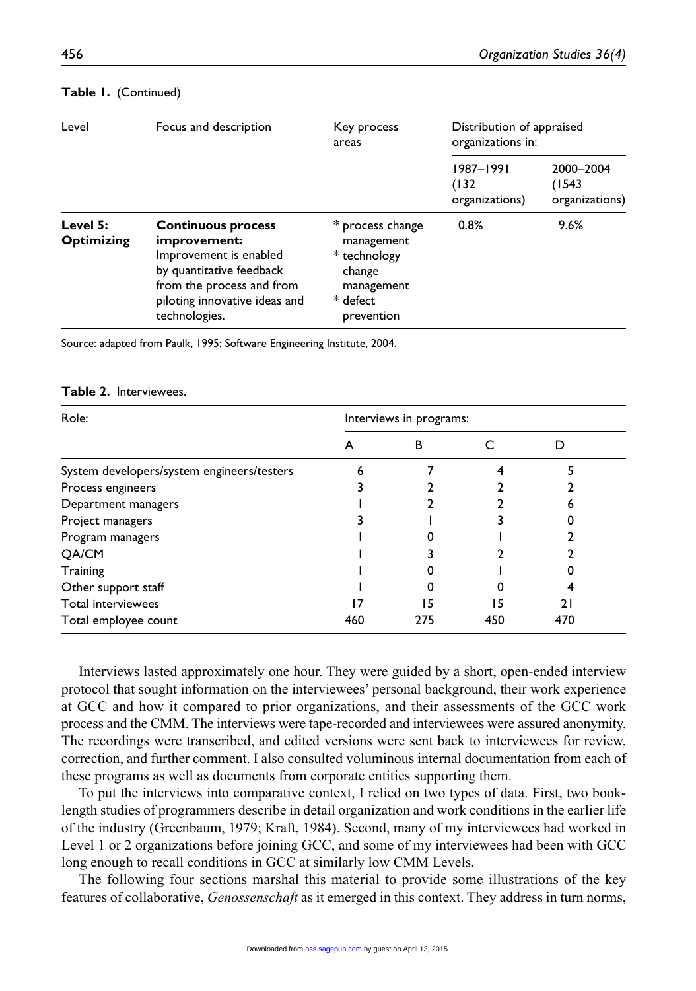| Level                         | Focus and description                                                                                                                                                          | Key process<br>areas                                                                             | Distribution of appraised<br>organizations in: |                                       |
|-------------------------------|--------------------------------------------------------------------------------------------------------------------------------------------------------------------------------|--------------------------------------------------------------------------------------------------|------------------------------------------------|---------------------------------------|
|                               |                                                                                                                                                                                |                                                                                                  | 1987-1991<br>(132)<br>organizations)           | 2000-2004<br>(1543)<br>organizations) |
| Level 5:<br><b>Optimizing</b> | <b>Continuous process</b><br>improvement:<br>Improvement is enabled<br>by quantitative feedback<br>from the process and from<br>piloting innovative ideas and<br>technologies. | * process change<br>management<br>* technology<br>change<br>management<br>* defect<br>prevention | 0.8%                                           | 9.6%                                  |

#### **Table 1.** (Continued)

Source: adapted from Paulk, 1995; Software Engineering Institute, 2004.

## **Table 2.** Interviewees.

| Role:                                      | Interviews in programs: |     |     |                |  |
|--------------------------------------------|-------------------------|-----|-----|----------------|--|
|                                            | A                       | в   |     |                |  |
| System developers/system engineers/testers |                         |     |     |                |  |
| Process engineers                          |                         |     |     |                |  |
| Department managers                        |                         |     |     |                |  |
| Project managers                           |                         |     |     |                |  |
| Program managers                           |                         |     |     |                |  |
| QA/CM                                      |                         |     |     |                |  |
| Training                                   |                         |     |     |                |  |
| Other support staff                        |                         |     |     |                |  |
| Total interviewees                         |                         | 15  | 15  | $\overline{2}$ |  |
| Total employee count                       | 460                     | 275 | 450 | 470            |  |

Interviews lasted approximately one hour. They were guided by a short, open-ended interview protocol that sought information on the interviewees' personal background, their work experience at GCC and how it compared to prior organizations, and their assessments of the GCC work process and the CMM. The interviews were tape-recorded and interviewees were assured anonymity. The recordings were transcribed, and edited versions were sent back to interviewees for review, correction, and further comment. I also consulted voluminous internal documentation from each of these programs as well as documents from corporate entities supporting them.

To put the interviews into comparative context, I relied on two types of data. First, two booklength studies of programmers describe in detail organization and work conditions in the earlier life of the industry (Greenbaum, 1979; Kraft, 1984). Second, many of my interviewees had worked in Level 1 or 2 organizations before joining GCC, and some of my interviewees had been with GCC long enough to recall conditions in GCC at similarly low CMM Levels.

The following four sections marshal this material to provide some illustrations of the key features of collaborative, *Genossenschaft* as it emerged in this context. They address in turn norms,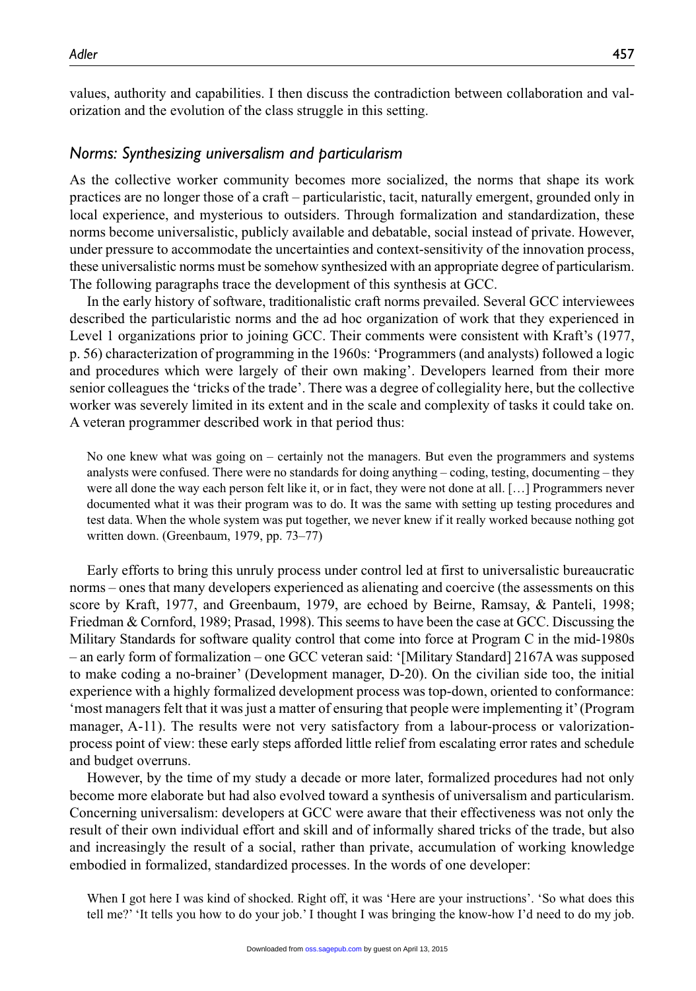values, authority and capabilities. I then discuss the contradiction between collaboration and valorization and the evolution of the class struggle in this setting.

## *Norms: Synthesizing universalism and particularism*

As the collective worker community becomes more socialized, the norms that shape its work practices are no longer those of a craft – particularistic, tacit, naturally emergent, grounded only in local experience, and mysterious to outsiders. Through formalization and standardization, these norms become universalistic, publicly available and debatable, social instead of private. However, under pressure to accommodate the uncertainties and context-sensitivity of the innovation process, these universalistic norms must be somehow synthesized with an appropriate degree of particularism. The following paragraphs trace the development of this synthesis at GCC.

In the early history of software, traditionalistic craft norms prevailed. Several GCC interviewees described the particularistic norms and the ad hoc organization of work that they experienced in Level 1 organizations prior to joining GCC. Their comments were consistent with Kraft's (1977, p. 56) characterization of programming in the 1960s: 'Programmers (and analysts) followed a logic and procedures which were largely of their own making'. Developers learned from their more senior colleagues the 'tricks of the trade'. There was a degree of collegiality here, but the collective worker was severely limited in its extent and in the scale and complexity of tasks it could take on. A veteran programmer described work in that period thus:

No one knew what was going on – certainly not the managers. But even the programmers and systems analysts were confused. There were no standards for doing anything – coding, testing, documenting – they were all done the way each person felt like it, or in fact, they were not done at all. […] Programmers never documented what it was their program was to do. It was the same with setting up testing procedures and test data. When the whole system was put together, we never knew if it really worked because nothing got written down. (Greenbaum, 1979, pp. 73–77)

Early efforts to bring this unruly process under control led at first to universalistic bureaucratic norms – ones that many developers experienced as alienating and coercive (the assessments on this score by Kraft, 1977, and Greenbaum, 1979, are echoed by Beirne, Ramsay, & Panteli, 1998; Friedman & Cornford, 1989; Prasad, 1998). This seems to have been the case at GCC. Discussing the Military Standards for software quality control that come into force at Program C in the mid-1980s – an early form of formalization – one GCC veteran said: '[Military Standard] 2167A was supposed to make coding a no-brainer' (Development manager, D-20). On the civilian side too, the initial experience with a highly formalized development process was top-down, oriented to conformance: 'most managers felt that it was just a matter of ensuring that people were implementing it' (Program manager, A-11). The results were not very satisfactory from a labour-process or valorizationprocess point of view: these early steps afforded little relief from escalating error rates and schedule and budget overruns.

However, by the time of my study a decade or more later, formalized procedures had not only become more elaborate but had also evolved toward a synthesis of universalism and particularism. Concerning universalism: developers at GCC were aware that their effectiveness was not only the result of their own individual effort and skill and of informally shared tricks of the trade, but also and increasingly the result of a social, rather than private, accumulation of working knowledge embodied in formalized, standardized processes. In the words of one developer:

When I got here I was kind of shocked. Right off, it was 'Here are your instructions', 'So what does this tell me?' 'It tells you how to do your job.' I thought I was bringing the know-how I'd need to do my job.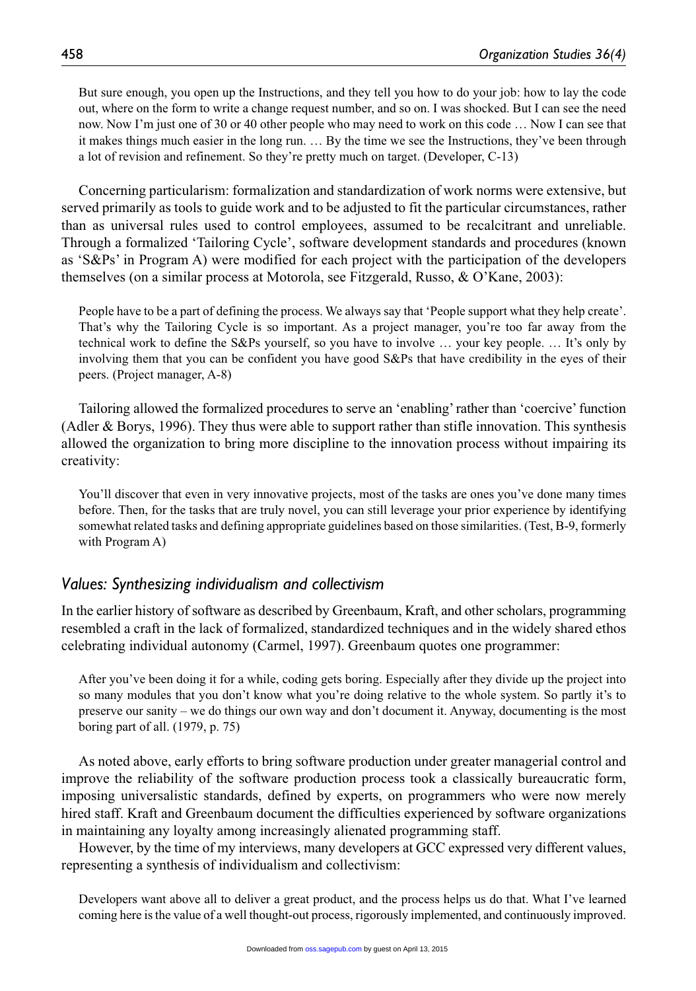But sure enough, you open up the Instructions, and they tell you how to do your job: how to lay the code out, where on the form to write a change request number, and so on. I was shocked. But I can see the need now. Now I'm just one of 30 or 40 other people who may need to work on this code … Now I can see that it makes things much easier in the long run. … By the time we see the Instructions, they've been through a lot of revision and refinement. So they're pretty much on target. (Developer, C-13)

Concerning particularism: formalization and standardization of work norms were extensive, but served primarily as tools to guide work and to be adjusted to fit the particular circumstances, rather than as universal rules used to control employees, assumed to be recalcitrant and unreliable. Through a formalized 'Tailoring Cycle', software development standards and procedures (known as 'S&Ps' in Program A) were modified for each project with the participation of the developers themselves (on a similar process at Motorola, see Fitzgerald, Russo, & O'Kane, 2003):

People have to be a part of defining the process. We always say that 'People support what they help create'. That's why the Tailoring Cycle is so important. As a project manager, you're too far away from the technical work to define the S&Ps yourself, so you have to involve … your key people. … It's only by involving them that you can be confident you have good S&Ps that have credibility in the eyes of their peers. (Project manager, A-8)

Tailoring allowed the formalized procedures to serve an 'enabling' rather than 'coercive' function (Adler & Borys, 1996). They thus were able to support rather than stifle innovation. This synthesis allowed the organization to bring more discipline to the innovation process without impairing its creativity:

You'll discover that even in very innovative projects, most of the tasks are ones you've done many times before. Then, for the tasks that are truly novel, you can still leverage your prior experience by identifying somewhat related tasks and defining appropriate guidelines based on those similarities. (Test, B-9, formerly with Program A)

## *Values: Synthesizing individualism and collectivism*

In the earlier history of software as described by Greenbaum, Kraft, and other scholars, programming resembled a craft in the lack of formalized, standardized techniques and in the widely shared ethos celebrating individual autonomy (Carmel, 1997). Greenbaum quotes one programmer:

After you've been doing it for a while, coding gets boring. Especially after they divide up the project into so many modules that you don't know what you're doing relative to the whole system. So partly it's to preserve our sanity – we do things our own way and don't document it. Anyway, documenting is the most boring part of all. (1979, p. 75)

As noted above, early efforts to bring software production under greater managerial control and improve the reliability of the software production process took a classically bureaucratic form, imposing universalistic standards, defined by experts, on programmers who were now merely hired staff. Kraft and Greenbaum document the difficulties experienced by software organizations in maintaining any loyalty among increasingly alienated programming staff.

However, by the time of my interviews, many developers at GCC expressed very different values, representing a synthesis of individualism and collectivism:

Developers want above all to deliver a great product, and the process helps us do that. What I've learned coming here is the value of a well thought-out process, rigorously implemented, and continuously improved.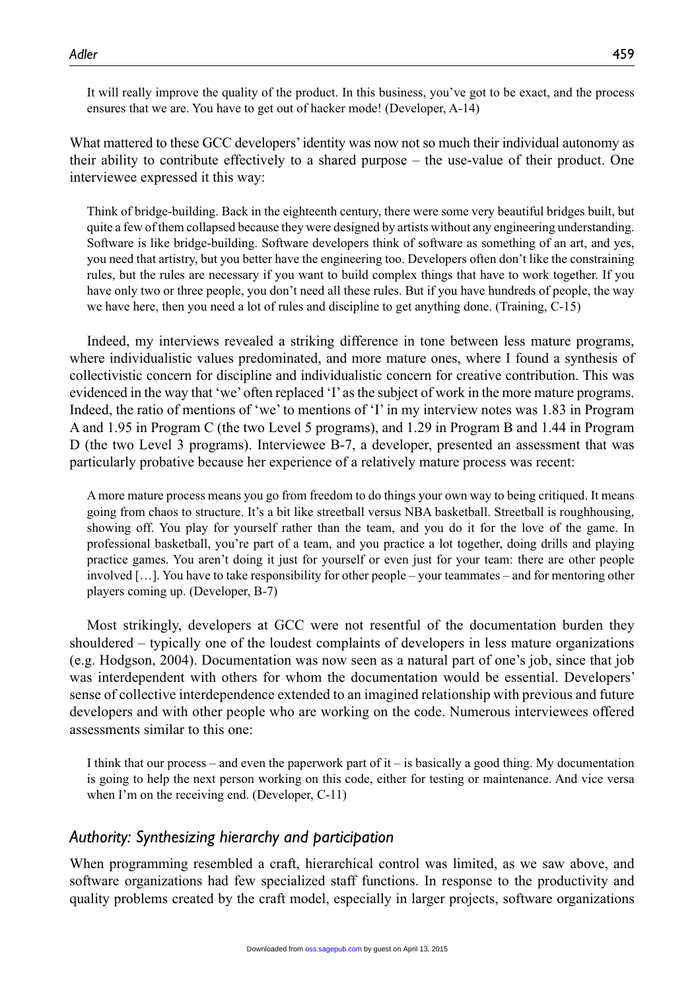It will really improve the quality of the product. In this business, you've got to be exact, and the process ensures that we are. You have to get out of hacker mode! (Developer, A-14)

What mattered to these GCC developers' identity was now not so much their individual autonomy as their ability to contribute effectively to a shared purpose – the use-value of their product. One interviewee expressed it this way:

Think of bridge-building. Back in the eighteenth century, there were some very beautiful bridges built, but quite a few of them collapsed because they were designed by artists without any engineering understanding. Software is like bridge-building. Software developers think of software as something of an art, and yes, you need that artistry, but you better have the engineering too. Developers often don't like the constraining rules, but the rules are necessary if you want to build complex things that have to work together. If you have only two or three people, you don't need all these rules. But if you have hundreds of people, the way we have here, then you need a lot of rules and discipline to get anything done. (Training, C-15)

Indeed, my interviews revealed a striking difference in tone between less mature programs, where individualistic values predominated, and more mature ones, where I found a synthesis of collectivistic concern for discipline and individualistic concern for creative contribution. This was evidenced in the way that 'we' often replaced 'I' as the subject of work in the more mature programs. Indeed, the ratio of mentions of 'we' to mentions of 'I' in my interview notes was 1.83 in Program A and 1.95 in Program C (the two Level 5 programs), and 1.29 in Program B and 1.44 in Program D (the two Level 3 programs). Interviewee B-7, a developer, presented an assessment that was particularly probative because her experience of a relatively mature process was recent:

A more mature process means you go from freedom to do things your own way to being critiqued. It means going from chaos to structure. It's a bit like streetball versus NBA basketball. Streetball is roughhousing, showing off. You play for yourself rather than the team, and you do it for the love of the game. In professional basketball, you're part of a team, and you practice a lot together, doing drills and playing practice games. You aren't doing it just for yourself or even just for your team: there are other people involved […]. You have to take responsibility for other people – your teammates – and for mentoring other players coming up. (Developer, B-7)

Most strikingly, developers at GCC were not resentful of the documentation burden they shouldered – typically one of the loudest complaints of developers in less mature organizations (e.g. Hodgson, 2004). Documentation was now seen as a natural part of one's job, since that job was interdependent with others for whom the documentation would be essential. Developers' sense of collective interdependence extended to an imagined relationship with previous and future developers and with other people who are working on the code. Numerous interviewees offered assessments similar to this one:

I think that our process – and even the paperwork part of  $it - is$  basically a good thing. My documentation is going to help the next person working on this code, either for testing or maintenance. And vice versa when I'm on the receiving end. (Developer, C-11)

#### *Authority: Synthesizing hierarchy and participation*

When programming resembled a craft, hierarchical control was limited, as we saw above, and software organizations had few specialized staff functions. In response to the productivity and quality problems created by the craft model, especially in larger projects, software organizations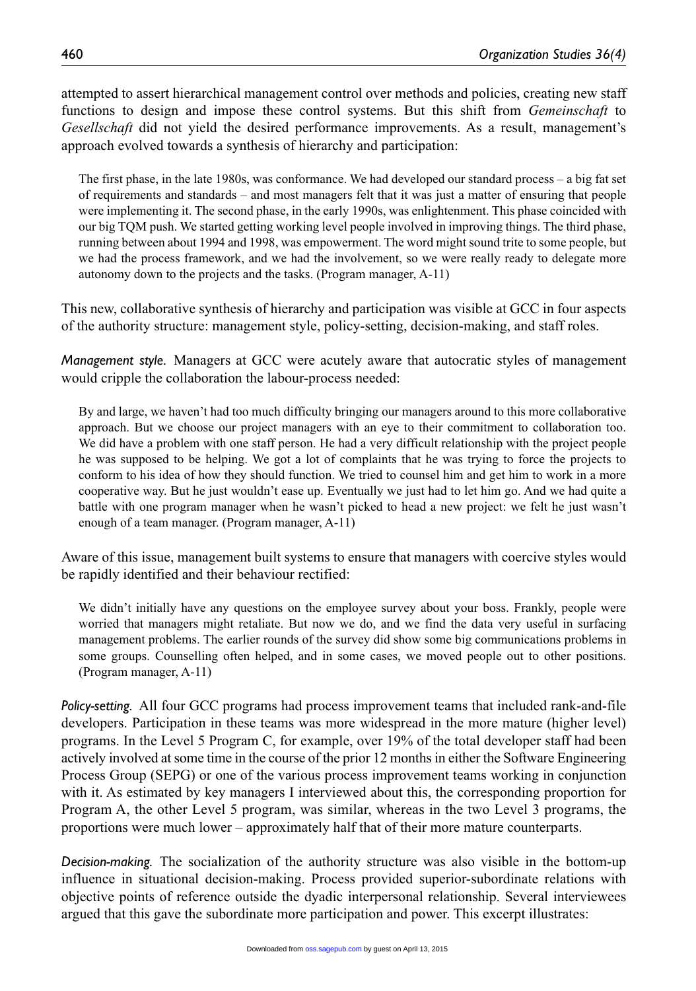attempted to assert hierarchical management control over methods and policies, creating new staff functions to design and impose these control systems. But this shift from *Gemeinschaft* to *Gesellschaft* did not yield the desired performance improvements. As a result, management's approach evolved towards a synthesis of hierarchy and participation:

The first phase, in the late 1980s, was conformance. We had developed our standard process – a big fat set of requirements and standards – and most managers felt that it was just a matter of ensuring that people were implementing it. The second phase, in the early 1990s, was enlightenment. This phase coincided with our big TQM push. We started getting working level people involved in improving things. The third phase, running between about 1994 and 1998, was empowerment. The word might sound trite to some people, but we had the process framework, and we had the involvement, so we were really ready to delegate more autonomy down to the projects and the tasks. (Program manager, A-11)

This new, collaborative synthesis of hierarchy and participation was visible at GCC in four aspects of the authority structure: management style, policy-setting, decision-making, and staff roles.

*Management style.* Managers at GCC were acutely aware that autocratic styles of management would cripple the collaboration the labour-process needed:

By and large, we haven't had too much difficulty bringing our managers around to this more collaborative approach. But we choose our project managers with an eye to their commitment to collaboration too. We did have a problem with one staff person. He had a very difficult relationship with the project people he was supposed to be helping. We got a lot of complaints that he was trying to force the projects to conform to his idea of how they should function. We tried to counsel him and get him to work in a more cooperative way. But he just wouldn't ease up. Eventually we just had to let him go. And we had quite a battle with one program manager when he wasn't picked to head a new project: we felt he just wasn't enough of a team manager. (Program manager, A-11)

Aware of this issue, management built systems to ensure that managers with coercive styles would be rapidly identified and their behaviour rectified:

We didn't initially have any questions on the employee survey about your boss. Frankly, people were worried that managers might retaliate. But now we do, and we find the data very useful in surfacing management problems. The earlier rounds of the survey did show some big communications problems in some groups. Counselling often helped, and in some cases, we moved people out to other positions. (Program manager, A-11)

*Policy-setting.* All four GCC programs had process improvement teams that included rank-and-file developers. Participation in these teams was more widespread in the more mature (higher level) programs. In the Level 5 Program C, for example, over 19% of the total developer staff had been actively involved at some time in the course of the prior 12 months in either the Software Engineering Process Group (SEPG) or one of the various process improvement teams working in conjunction with it. As estimated by key managers I interviewed about this, the corresponding proportion for Program A, the other Level 5 program, was similar, whereas in the two Level 3 programs, the proportions were much lower – approximately half that of their more mature counterparts.

*Decision-making.* The socialization of the authority structure was also visible in the bottom-up influence in situational decision-making. Process provided superior-subordinate relations with objective points of reference outside the dyadic interpersonal relationship. Several interviewees argued that this gave the subordinate more participation and power. This excerpt illustrates: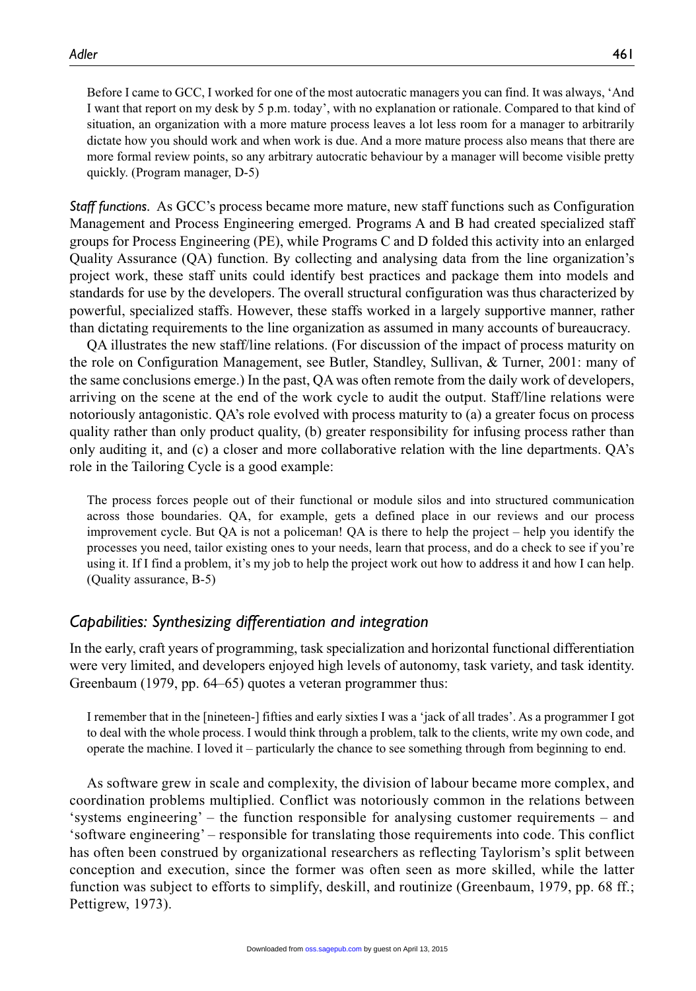Before I came to GCC, I worked for one of the most autocratic managers you can find. It was always, 'And I want that report on my desk by 5 p.m. today', with no explanation or rationale. Compared to that kind of situation, an organization with a more mature process leaves a lot less room for a manager to arbitrarily dictate how you should work and when work is due. And a more mature process also means that there are more formal review points, so any arbitrary autocratic behaviour by a manager will become visible pretty quickly. (Program manager, D-5)

*Staff functions.* As GCC's process became more mature, new staff functions such as Configuration Management and Process Engineering emerged. Programs A and B had created specialized staff groups for Process Engineering (PE), while Programs C and D folded this activity into an enlarged Quality Assurance (QA) function. By collecting and analysing data from the line organization's project work, these staff units could identify best practices and package them into models and standards for use by the developers. The overall structural configuration was thus characterized by powerful, specialized staffs. However, these staffs worked in a largely supportive manner, rather than dictating requirements to the line organization as assumed in many accounts of bureaucracy.

QA illustrates the new staff/line relations. (For discussion of the impact of process maturity on the role on Configuration Management, see Butler, Standley, Sullivan, & Turner, 2001: many of the same conclusions emerge.) In the past, QA was often remote from the daily work of developers, arriving on the scene at the end of the work cycle to audit the output. Staff/line relations were notoriously antagonistic. QA's role evolved with process maturity to (a) a greater focus on process quality rather than only product quality, (b) greater responsibility for infusing process rather than only auditing it, and (c) a closer and more collaborative relation with the line departments. QA's role in the Tailoring Cycle is a good example:

The process forces people out of their functional or module silos and into structured communication across those boundaries. QA, for example, gets a defined place in our reviews and our process improvement cycle. But QA is not a policeman! QA is there to help the project – help you identify the processes you need, tailor existing ones to your needs, learn that process, and do a check to see if you're using it. If I find a problem, it's my job to help the project work out how to address it and how I can help. (Quality assurance, B-5)

## *Capabilities: Synthesizing differentiation and integration*

In the early, craft years of programming, task specialization and horizontal functional differentiation were very limited, and developers enjoyed high levels of autonomy, task variety, and task identity. Greenbaum (1979, pp. 64–65) quotes a veteran programmer thus:

I remember that in the [nineteen-] fifties and early sixties I was a 'jack of all trades'. As a programmer I got to deal with the whole process. I would think through a problem, talk to the clients, write my own code, and operate the machine. I loved it – particularly the chance to see something through from beginning to end.

As software grew in scale and complexity, the division of labour became more complex, and coordination problems multiplied. Conflict was notoriously common in the relations between 'systems engineering' – the function responsible for analysing customer requirements – and 'software engineering' – responsible for translating those requirements into code. This conflict has often been construed by organizational researchers as reflecting Taylorism's split between conception and execution, since the former was often seen as more skilled, while the latter function was subject to efforts to simplify, deskill, and routinize (Greenbaum, 1979, pp. 68 ff.; Pettigrew, 1973).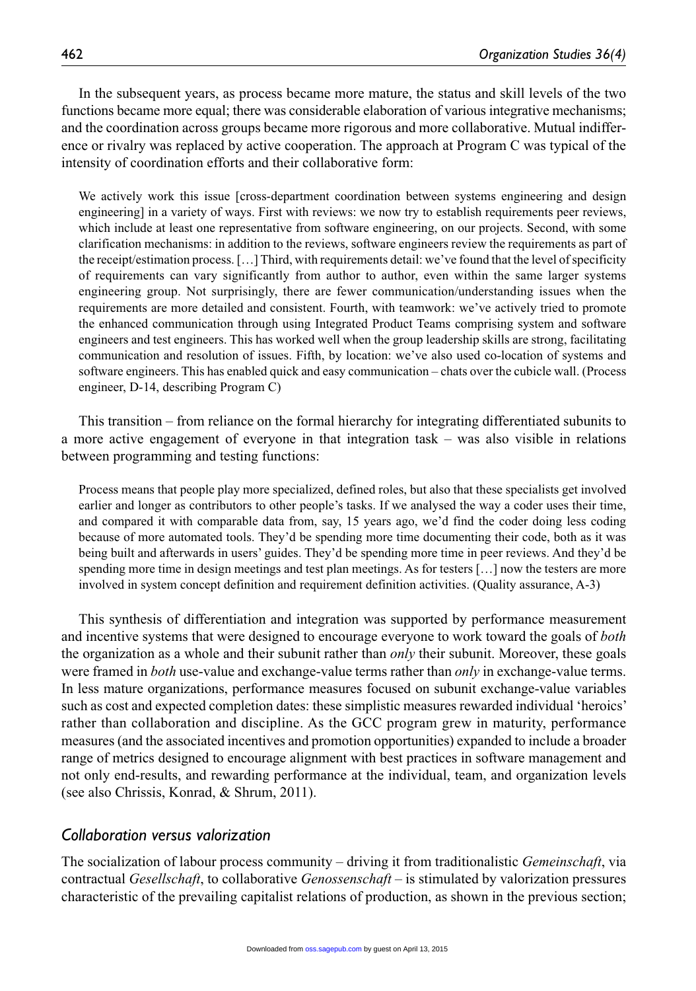In the subsequent years, as process became more mature, the status and skill levels of the two functions became more equal; there was considerable elaboration of various integrative mechanisms; and the coordination across groups became more rigorous and more collaborative. Mutual indifference or rivalry was replaced by active cooperation. The approach at Program C was typical of the intensity of coordination efforts and their collaborative form:

We actively work this issue [cross-department coordination between systems engineering and design engineering] in a variety of ways. First with reviews: we now try to establish requirements peer reviews, which include at least one representative from software engineering, on our projects. Second, with some clarification mechanisms: in addition to the reviews, software engineers review the requirements as part of the receipt/estimation process. […] Third, with requirements detail: we've found that the level of specificity of requirements can vary significantly from author to author, even within the same larger systems engineering group. Not surprisingly, there are fewer communication/understanding issues when the requirements are more detailed and consistent. Fourth, with teamwork: we've actively tried to promote the enhanced communication through using Integrated Product Teams comprising system and software engineers and test engineers. This has worked well when the group leadership skills are strong, facilitating communication and resolution of issues. Fifth, by location: we've also used co-location of systems and software engineers. This has enabled quick and easy communication – chats over the cubicle wall. (Process engineer, D-14, describing Program C)

This transition – from reliance on the formal hierarchy for integrating differentiated subunits to a more active engagement of everyone in that integration task – was also visible in relations between programming and testing functions:

Process means that people play more specialized, defined roles, but also that these specialists get involved earlier and longer as contributors to other people's tasks. If we analysed the way a coder uses their time, and compared it with comparable data from, say, 15 years ago, we'd find the coder doing less coding because of more automated tools. They'd be spending more time documenting their code, both as it was being built and afterwards in users' guides. They'd be spending more time in peer reviews. And they'd be spending more time in design meetings and test plan meetings. As for testers [...] now the testers are more involved in system concept definition and requirement definition activities. (Quality assurance, A-3)

This synthesis of differentiation and integration was supported by performance measurement and incentive systems that were designed to encourage everyone to work toward the goals of *both* the organization as a whole and their subunit rather than *only* their subunit. Moreover, these goals were framed in *both* use-value and exchange-value terms rather than *only* in exchange-value terms. In less mature organizations, performance measures focused on subunit exchange-value variables such as cost and expected completion dates: these simplistic measures rewarded individual 'heroics' rather than collaboration and discipline. As the GCC program grew in maturity, performance measures (and the associated incentives and promotion opportunities) expanded to include a broader range of metrics designed to encourage alignment with best practices in software management and not only end-results, and rewarding performance at the individual, team, and organization levels (see also Chrissis, Konrad, & Shrum, 2011).

#### *Collaboration versus valorization*

The socialization of labour process community – driving it from traditionalistic *Gemeinschaft*, via contractual *Gesellschaft*, to collaborative *Genossenschaft* – is stimulated by valorization pressures characteristic of the prevailing capitalist relations of production, as shown in the previous section;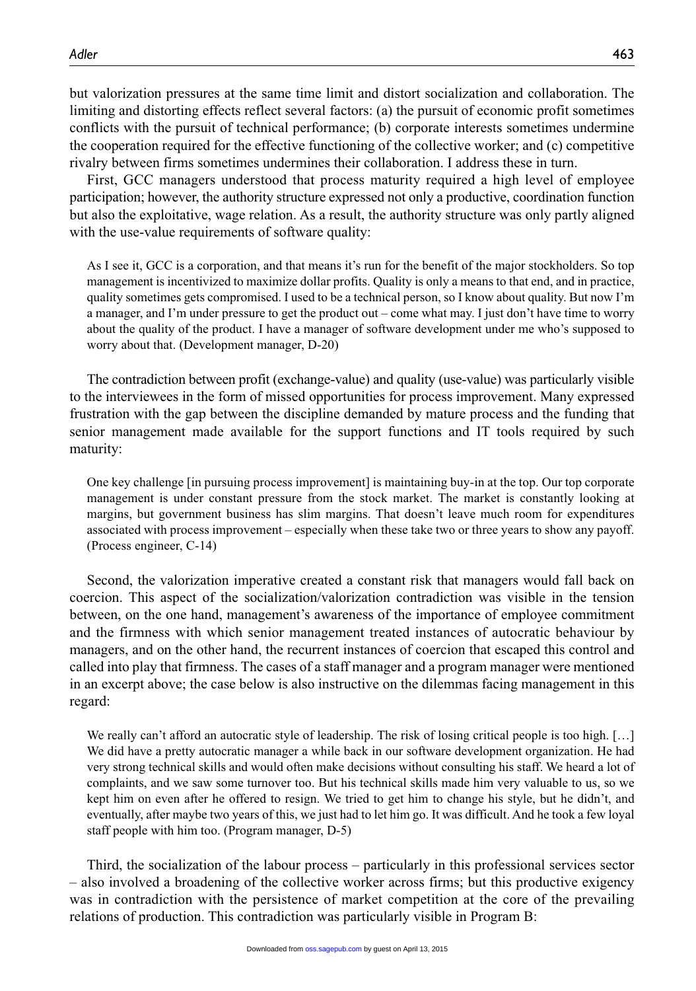First, GCC managers understood that process maturity required a high level of employee participation; however, the authority structure expressed not only a productive, coordination function but also the exploitative, wage relation. As a result, the authority structure was only partly aligned with the use-value requirements of software quality:

As I see it, GCC is a corporation, and that means it's run for the benefit of the major stockholders. So top management is incentivized to maximize dollar profits. Quality is only a means to that end, and in practice, quality sometimes gets compromised. I used to be a technical person, so I know about quality. But now I'm a manager, and I'm under pressure to get the product out – come what may. I just don't have time to worry about the quality of the product. I have a manager of software development under me who's supposed to worry about that. (Development manager, D-20)

The contradiction between profit (exchange-value) and quality (use-value) was particularly visible to the interviewees in the form of missed opportunities for process improvement. Many expressed frustration with the gap between the discipline demanded by mature process and the funding that senior management made available for the support functions and IT tools required by such maturity:

One key challenge [in pursuing process improvement] is maintaining buy-in at the top. Our top corporate management is under constant pressure from the stock market. The market is constantly looking at margins, but government business has slim margins. That doesn't leave much room for expenditures associated with process improvement – especially when these take two or three years to show any payoff. (Process engineer, C-14)

Second, the valorization imperative created a constant risk that managers would fall back on coercion. This aspect of the socialization/valorization contradiction was visible in the tension between, on the one hand, management's awareness of the importance of employee commitment and the firmness with which senior management treated instances of autocratic behaviour by managers, and on the other hand, the recurrent instances of coercion that escaped this control and called into play that firmness. The cases of a staff manager and a program manager were mentioned in an excerpt above; the case below is also instructive on the dilemmas facing management in this regard:

We really can't afford an autocratic style of leadership. The risk of losing critical people is too high. [...] We did have a pretty autocratic manager a while back in our software development organization. He had very strong technical skills and would often make decisions without consulting his staff. We heard a lot of complaints, and we saw some turnover too. But his technical skills made him very valuable to us, so we kept him on even after he offered to resign. We tried to get him to change his style, but he didn't, and eventually, after maybe two years of this, we just had to let him go. It was difficult. And he took a few loyal staff people with him too. (Program manager, D-5)

Third, the socialization of the labour process – particularly in this professional services sector – also involved a broadening of the collective worker across firms; but this productive exigency was in contradiction with the persistence of market competition at the core of the prevailing relations of production. This contradiction was particularly visible in Program B: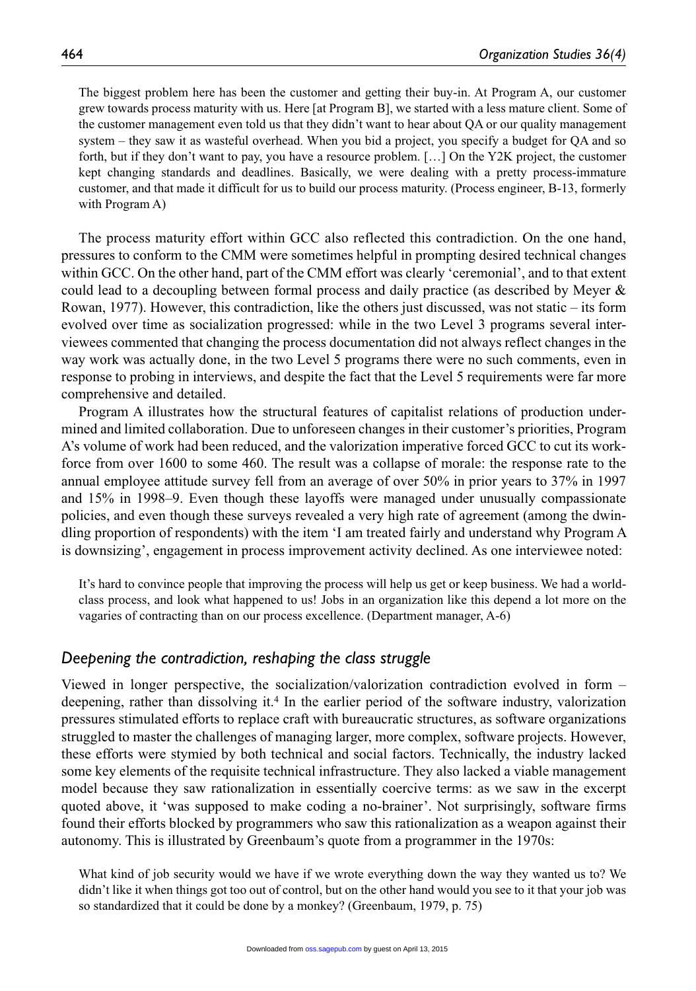The biggest problem here has been the customer and getting their buy-in. At Program A, our customer grew towards process maturity with us. Here [at Program B], we started with a less mature client. Some of the customer management even told us that they didn't want to hear about QA or our quality management system – they saw it as wasteful overhead. When you bid a project, you specify a budget for QA and so forth, but if they don't want to pay, you have a resource problem. […] On the Y2K project, the customer kept changing standards and deadlines. Basically, we were dealing with a pretty process-immature customer, and that made it difficult for us to build our process maturity. (Process engineer, B-13, formerly with Program A)

The process maturity effort within GCC also reflected this contradiction. On the one hand, pressures to conform to the CMM were sometimes helpful in prompting desired technical changes within GCC. On the other hand, part of the CMM effort was clearly 'ceremonial', and to that extent could lead to a decoupling between formal process and daily practice (as described by Meyer & Rowan, 1977). However, this contradiction, like the others just discussed, was not static – its form evolved over time as socialization progressed: while in the two Level 3 programs several interviewees commented that changing the process documentation did not always reflect changes in the way work was actually done, in the two Level 5 programs there were no such comments, even in response to probing in interviews, and despite the fact that the Level 5 requirements were far more comprehensive and detailed.

Program A illustrates how the structural features of capitalist relations of production undermined and limited collaboration. Due to unforeseen changes in their customer's priorities, Program A's volume of work had been reduced, and the valorization imperative forced GCC to cut its workforce from over 1600 to some 460. The result was a collapse of morale: the response rate to the annual employee attitude survey fell from an average of over 50% in prior years to 37% in 1997 and 15% in 1998–9. Even though these layoffs were managed under unusually compassionate policies, and even though these surveys revealed a very high rate of agreement (among the dwindling proportion of respondents) with the item 'I am treated fairly and understand why Program A is downsizing', engagement in process improvement activity declined. As one interviewee noted:

It's hard to convince people that improving the process will help us get or keep business. We had a worldclass process, and look what happened to us! Jobs in an organization like this depend a lot more on the vagaries of contracting than on our process excellence. (Department manager, A-6)

## *Deepening the contradiction, reshaping the class struggle*

Viewed in longer perspective, the socialization/valorization contradiction evolved in form – deepening, rather than dissolving it.4 In the earlier period of the software industry, valorization pressures stimulated efforts to replace craft with bureaucratic structures, as software organizations struggled to master the challenges of managing larger, more complex, software projects. However, these efforts were stymied by both technical and social factors. Technically, the industry lacked some key elements of the requisite technical infrastructure. They also lacked a viable management model because they saw rationalization in essentially coercive terms: as we saw in the excerpt quoted above, it 'was supposed to make coding a no-brainer'. Not surprisingly, software firms found their efforts blocked by programmers who saw this rationalization as a weapon against their autonomy. This is illustrated by Greenbaum's quote from a programmer in the 1970s:

What kind of job security would we have if we wrote everything down the way they wanted us to? We didn't like it when things got too out of control, but on the other hand would you see to it that your job was so standardized that it could be done by a monkey? (Greenbaum, 1979, p. 75)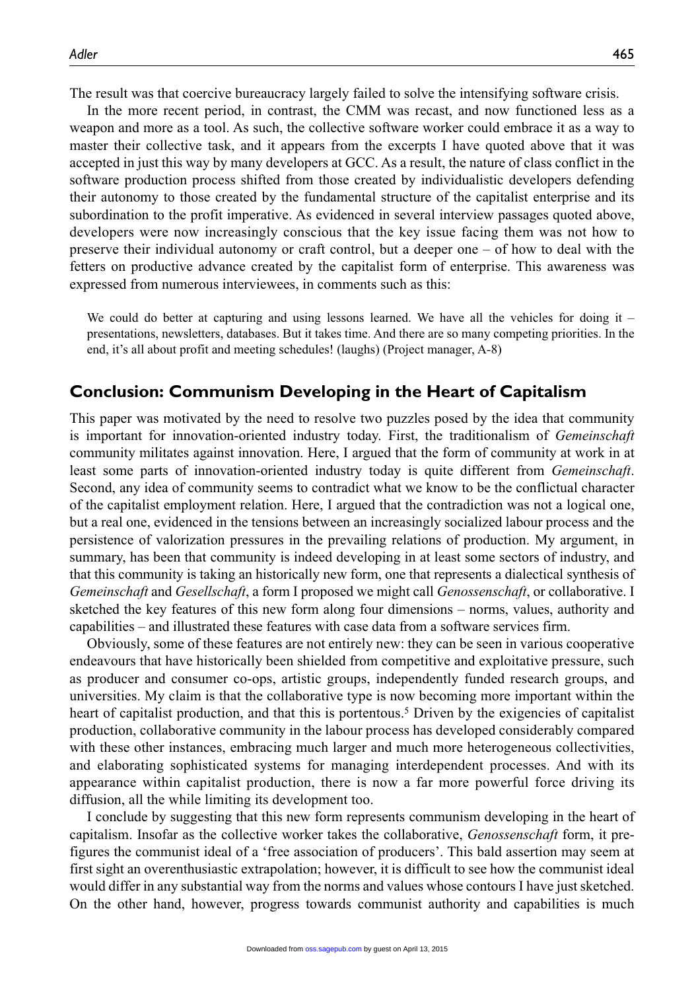The result was that coercive bureaucracy largely failed to solve the intensifying software crisis.

In the more recent period, in contrast, the CMM was recast, and now functioned less as a weapon and more as a tool. As such, the collective software worker could embrace it as a way to master their collective task, and it appears from the excerpts I have quoted above that it was accepted in just this way by many developers at GCC. As a result, the nature of class conflict in the software production process shifted from those created by individualistic developers defending their autonomy to those created by the fundamental structure of the capitalist enterprise and its subordination to the profit imperative. As evidenced in several interview passages quoted above, developers were now increasingly conscious that the key issue facing them was not how to preserve their individual autonomy or craft control, but a deeper one – of how to deal with the fetters on productive advance created by the capitalist form of enterprise. This awareness was expressed from numerous interviewees, in comments such as this:

We could do better at capturing and using lessons learned. We have all the vehicles for doing it  $$ presentations, newsletters, databases. But it takes time. And there are so many competing priorities. In the end, it's all about profit and meeting schedules! (laughs) (Project manager, A-8)

## **Conclusion: Communism Developing in the Heart of Capitalism**

This paper was motivated by the need to resolve two puzzles posed by the idea that community is important for innovation-oriented industry today. First, the traditionalism of *Gemeinschaft* community militates against innovation. Here, I argued that the form of community at work in at least some parts of innovation-oriented industry today is quite different from *Gemeinschaft*. Second, any idea of community seems to contradict what we know to be the conflictual character of the capitalist employment relation. Here, I argued that the contradiction was not a logical one, but a real one, evidenced in the tensions between an increasingly socialized labour process and the persistence of valorization pressures in the prevailing relations of production. My argument, in summary, has been that community is indeed developing in at least some sectors of industry, and that this community is taking an historically new form, one that represents a dialectical synthesis of *Gemeinschaft* and *Gesellschaft*, a form I proposed we might call *Genossenschaft*, or collaborative. I sketched the key features of this new form along four dimensions – norms, values, authority and capabilities – and illustrated these features with case data from a software services firm.

Obviously, some of these features are not entirely new: they can be seen in various cooperative endeavours that have historically been shielded from competitive and exploitative pressure, such as producer and consumer co-ops, artistic groups, independently funded research groups, and universities. My claim is that the collaborative type is now becoming more important within the heart of capitalist production, and that this is portentous.<sup>5</sup> Driven by the exigencies of capitalist production, collaborative community in the labour process has developed considerably compared with these other instances, embracing much larger and much more heterogeneous collectivities, and elaborating sophisticated systems for managing interdependent processes. And with its appearance within capitalist production, there is now a far more powerful force driving its diffusion, all the while limiting its development too.

I conclude by suggesting that this new form represents communism developing in the heart of capitalism. Insofar as the collective worker takes the collaborative, *Genossenschaft* form, it prefigures the communist ideal of a 'free association of producers'. This bald assertion may seem at first sight an overenthusiastic extrapolation; however, it is difficult to see how the communist ideal would differ in any substantial way from the norms and values whose contours I have just sketched. On the other hand, however, progress towards communist authority and capabilities is much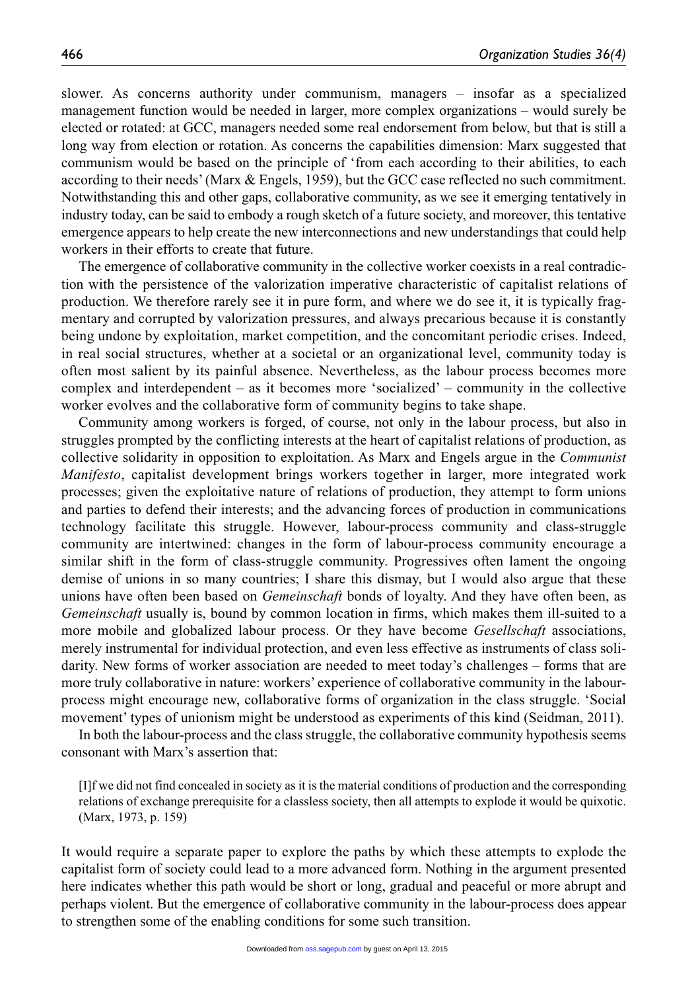slower. As concerns authority under communism, managers – insofar as a specialized management function would be needed in larger, more complex organizations – would surely be elected or rotated: at GCC, managers needed some real endorsement from below, but that is still a long way from election or rotation. As concerns the capabilities dimension: Marx suggested that communism would be based on the principle of 'from each according to their abilities, to each according to their needs' (Marx & Engels, 1959), but the GCC case reflected no such commitment. Notwithstanding this and other gaps, collaborative community, as we see it emerging tentatively in industry today, can be said to embody a rough sketch of a future society, and moreover, this tentative emergence appears to help create the new interconnections and new understandings that could help workers in their efforts to create that future.

The emergence of collaborative community in the collective worker coexists in a real contradiction with the persistence of the valorization imperative characteristic of capitalist relations of production. We therefore rarely see it in pure form, and where we do see it, it is typically fragmentary and corrupted by valorization pressures, and always precarious because it is constantly being undone by exploitation, market competition, and the concomitant periodic crises. Indeed, in real social structures, whether at a societal or an organizational level, community today is often most salient by its painful absence. Nevertheless, as the labour process becomes more complex and interdependent – as it becomes more 'socialized' – community in the collective worker evolves and the collaborative form of community begins to take shape.

Community among workers is forged, of course, not only in the labour process, but also in struggles prompted by the conflicting interests at the heart of capitalist relations of production, as collective solidarity in opposition to exploitation. As Marx and Engels argue in the *Communist Manifesto*, capitalist development brings workers together in larger, more integrated work processes; given the exploitative nature of relations of production, they attempt to form unions and parties to defend their interests; and the advancing forces of production in communications technology facilitate this struggle. However, labour-process community and class-struggle community are intertwined: changes in the form of labour-process community encourage a similar shift in the form of class-struggle community. Progressives often lament the ongoing demise of unions in so many countries; I share this dismay, but I would also argue that these unions have often been based on *Gemeinschaft* bonds of loyalty. And they have often been, as *Gemeinschaft* usually is, bound by common location in firms, which makes them ill-suited to a more mobile and globalized labour process. Or they have become *Gesellschaft* associations, merely instrumental for individual protection, and even less effective as instruments of class solidarity. New forms of worker association are needed to meet today's challenges – forms that are more truly collaborative in nature: workers' experience of collaborative community in the labourprocess might encourage new, collaborative forms of organization in the class struggle. 'Social movement' types of unionism might be understood as experiments of this kind (Seidman, 2011).

In both the labour-process and the class struggle, the collaborative community hypothesis seems consonant with Marx's assertion that:

[I]f we did not find concealed in society as it is the material conditions of production and the corresponding relations of exchange prerequisite for a classless society, then all attempts to explode it would be quixotic. (Marx, 1973, p. 159)

It would require a separate paper to explore the paths by which these attempts to explode the capitalist form of society could lead to a more advanced form. Nothing in the argument presented here indicates whether this path would be short or long, gradual and peaceful or more abrupt and perhaps violent. But the emergence of collaborative community in the labour-process does appear to strengthen some of the enabling conditions for some such transition.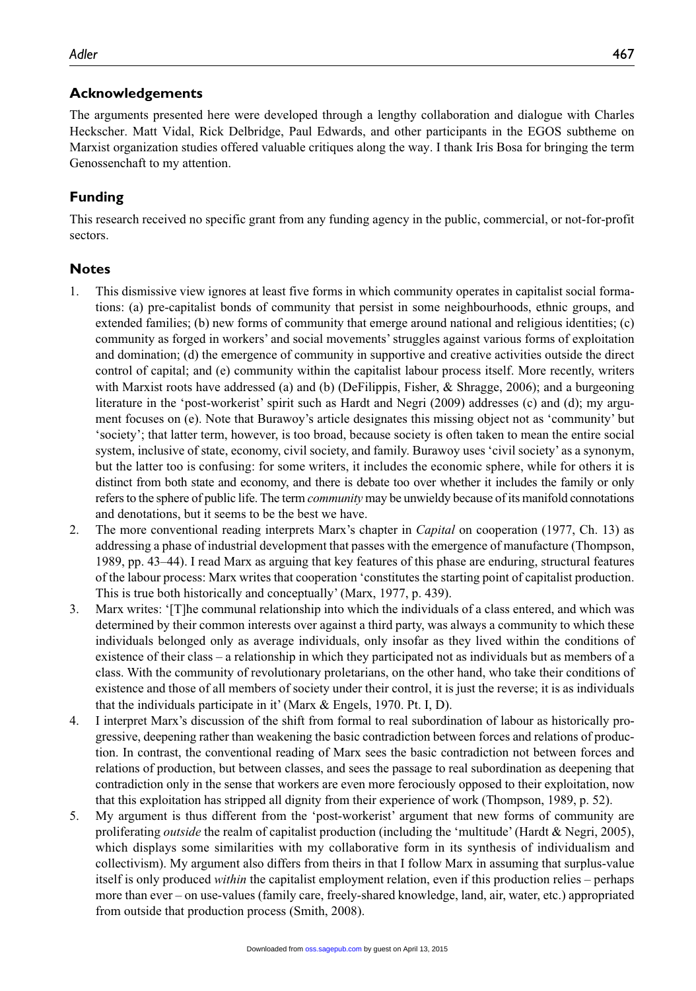## **Acknowledgements**

The arguments presented here were developed through a lengthy collaboration and dialogue with Charles Heckscher. Matt Vidal, Rick Delbridge, Paul Edwards, and other participants in the EGOS subtheme on Marxist organization studies offered valuable critiques along the way. I thank Iris Bosa for bringing the term Genossenchaft to my attention.

## **Funding**

This research received no specific grant from any funding agency in the public, commercial, or not-for-profit sectors.

## **Notes**

- 1. This dismissive view ignores at least five forms in which community operates in capitalist social formations: (a) pre-capitalist bonds of community that persist in some neighbourhoods, ethnic groups, and extended families; (b) new forms of community that emerge around national and religious identities; (c) community as forged in workers' and social movements' struggles against various forms of exploitation and domination; (d) the emergence of community in supportive and creative activities outside the direct control of capital; and (e) community within the capitalist labour process itself. More recently, writers with Marxist roots have addressed (a) and (b) (DeFilippis, Fisher, & Shragge, 2006); and a burgeoning literature in the 'post-workerist' spirit such as Hardt and Negri (2009) addresses (c) and (d); my argument focuses on (e). Note that Burawoy's article designates this missing object not as 'community' but 'society'; that latter term, however, is too broad, because society is often taken to mean the entire social system, inclusive of state, economy, civil society, and family. Burawoy uses 'civil society' as a synonym, but the latter too is confusing: for some writers, it includes the economic sphere, while for others it is distinct from both state and economy, and there is debate too over whether it includes the family or only refers to the sphere of public life. The term *community* may be unwieldy because of its manifold connotations and denotations, but it seems to be the best we have.
- 2. The more conventional reading interprets Marx's chapter in *Capital* on cooperation (1977, Ch. 13) as addressing a phase of industrial development that passes with the emergence of manufacture (Thompson, 1989, pp. 43–44). I read Marx as arguing that key features of this phase are enduring, structural features of the labour process: Marx writes that cooperation 'constitutes the starting point of capitalist production. This is true both historically and conceptually' (Marx, 1977, p. 439).
- 3. Marx writes: '[T]he communal relationship into which the individuals of a class entered, and which was determined by their common interests over against a third party, was always a community to which these individuals belonged only as average individuals, only insofar as they lived within the conditions of existence of their class – a relationship in which they participated not as individuals but as members of a class. With the community of revolutionary proletarians, on the other hand, who take their conditions of existence and those of all members of society under their control, it is just the reverse; it is as individuals that the individuals participate in it' (Marx & Engels, 1970. Pt. I, D).
- 4. I interpret Marx's discussion of the shift from formal to real subordination of labour as historically progressive, deepening rather than weakening the basic contradiction between forces and relations of production. In contrast, the conventional reading of Marx sees the basic contradiction not between forces and relations of production, but between classes, and sees the passage to real subordination as deepening that contradiction only in the sense that workers are even more ferociously opposed to their exploitation, now that this exploitation has stripped all dignity from their experience of work (Thompson, 1989, p. 52).
- 5. My argument is thus different from the 'post-workerist' argument that new forms of community are proliferating *outside* the realm of capitalist production (including the 'multitude' (Hardt & Negri, 2005), which displays some similarities with my collaborative form in its synthesis of individualism and collectivism). My argument also differs from theirs in that I follow Marx in assuming that surplus-value itself is only produced *within* the capitalist employment relation, even if this production relies – perhaps more than ever – on use-values (family care, freely-shared knowledge, land, air, water, etc.) appropriated from outside that production process (Smith, 2008).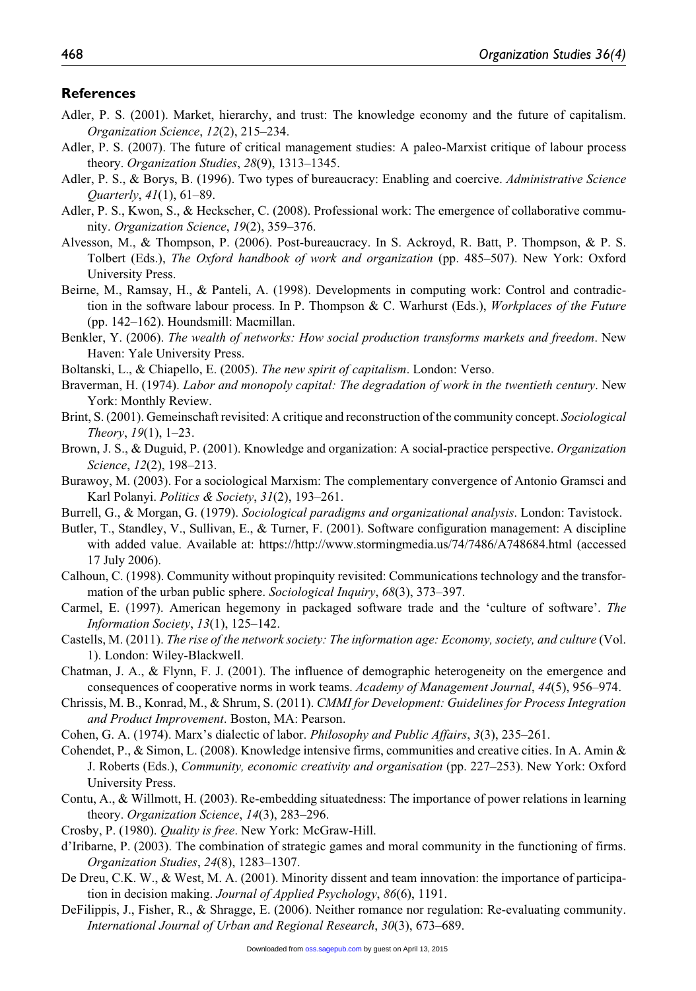#### **References**

- Adler, P. S. (2001). Market, hierarchy, and trust: The knowledge economy and the future of capitalism. *Organization Science*, *12*(2), 215–234.
- Adler, P. S. (2007). The future of critical management studies: A paleo-Marxist critique of labour process theory. *Organization Studies*, *28*(9), 1313–1345.
- Adler, P. S., & Borys, B. (1996). Two types of bureaucracy: Enabling and coercive. *Administrative Science Quarterly*, *41*(1), 61–89.
- Adler, P. S., Kwon, S., & Heckscher, C. (2008). Professional work: The emergence of collaborative community. *Organization Science*, *19*(2), 359–376.
- Alvesson, M., & Thompson, P. (2006). Post-bureaucracy. In S. Ackroyd, R. Batt, P. Thompson, & P. S. Tolbert (Eds.), *The Oxford handbook of work and organization* (pp. 485–507). New York: Oxford University Press.
- Beirne, M., Ramsay, H., & Panteli, A. (1998). Developments in computing work: Control and contradiction in the software labour process. In P. Thompson & C. Warhurst (Eds.), *Workplaces of the Future* (pp. 142–162). Houndsmill: Macmillan.
- Benkler, Y. (2006). *The wealth of networks: How social production transforms markets and freedom*. New Haven: Yale University Press.
- Boltanski, L., & Chiapello, E. (2005). *The new spirit of capitalism*. London: Verso.
- Braverman, H. (1974). *Labor and monopoly capital: The degradation of work in the twentieth century*. New York: Monthly Review.
- Brint, S. (2001). Gemeinschaft revisited: A critique and reconstruction of the community concept. *Sociological Theory*, *19*(1), 1–23.
- Brown, J. S., & Duguid, P. (2001). Knowledge and organization: A social-practice perspective. *Organization Science*, *12*(2), 198–213.
- Burawoy, M. (2003). For a sociological Marxism: The complementary convergence of Antonio Gramsci and Karl Polanyi. *Politics & Society*, *31*(2), 193–261.
- Burrell, G., & Morgan, G. (1979). *Sociological paradigms and organizational analysis*. London: Tavistock.
- Butler, T., Standley, V., Sullivan, E., & Turner, F. (2001). Software configuration management: A discipline with added value. Available at: <https://http://www.stormingmedia.us/74/7486/A748684.html> (accessed 17 July 2006).
- Calhoun, C. (1998). Community without propinquity revisited: Communications technology and the transformation of the urban public sphere. *Sociological Inquiry*, *68*(3), 373–397.
- Carmel, E. (1997). American hegemony in packaged software trade and the 'culture of software'. *The Information Society*, *13*(1), 125–142.
- Castells, M. (2011). *The rise of the network society: The information age: Economy, society, and culture* (Vol. 1). London: Wiley-Blackwell.
- Chatman, J. A., & Flynn, F. J. (2001). The influence of demographic heterogeneity on the emergence and consequences of cooperative norms in work teams. *Academy of Management Journal*, *44*(5), 956–974.
- Chrissis, M. B., Konrad, M., & Shrum, S. (2011). *CMMI for Development: Guidelines for Process Integration and Product Improvement*. Boston, MA: Pearson.
- Cohen, G. A. (1974). Marx's dialectic of labor. *Philosophy and Public Affairs*, *3*(3), 235–261.
- Cohendet, P., & Simon, L. (2008). Knowledge intensive firms, communities and creative cities. In A. Amin & J. Roberts (Eds.), *Community, economic creativity and organisation* (pp. 227–253). New York: Oxford University Press.
- Contu, A., & Willmott, H. (2003). Re-embedding situatedness: The importance of power relations in learning theory. *Organization Science*, *14*(3), 283–296.
- Crosby, P. (1980). *Quality is free*. New York: McGraw-Hill.
- d'Iribarne, P. (2003). The combination of strategic games and moral community in the functioning of firms. *Organization Studies*, *24*(8), 1283–1307.
- De Dreu, C.K. W., & West, M. A. (2001). Minority dissent and team innovation: the importance of participation in decision making. *Journal of Applied Psychology*, *86*(6), 1191.
- DeFilippis, J., Fisher, R., & Shragge, E. (2006). Neither romance nor regulation: Re-evaluating community. *International Journal of Urban and Regional Research*, *30*(3), 673–689.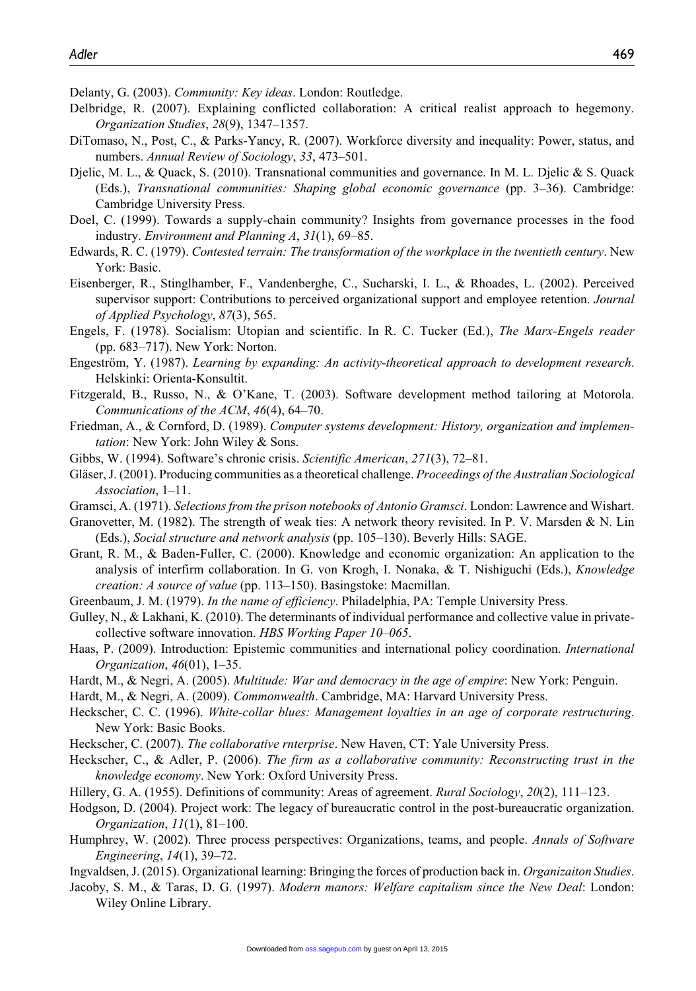Delanty, G. (2003). *Community: Key ideas*. London: Routledge.

- Delbridge, R. (2007). Explaining conflicted collaboration: A critical realist approach to hegemony. *Organization Studies*, *28*(9), 1347–1357.
- DiTomaso, N., Post, C., & Parks-Yancy, R. (2007). Workforce diversity and inequality: Power, status, and numbers. *Annual Review of Sociology*, *33*, 473–501.
- Djelic, M. L., & Quack, S. (2010). Transnational communities and governance. In M. L. Djelic & S. Quack (Eds.), *Transnational communities: Shaping global economic governance* (pp. 3–36). Cambridge: Cambridge University Press.
- Doel, C. (1999). Towards a supply-chain community? Insights from governance processes in the food industry. *Environment and Planning A*, *31*(1), 69–85.
- Edwards, R. C. (1979). *Contested terrain: The transformation of the workplace in the twentieth century*. New York: Basic.
- Eisenberger, R., Stinglhamber, F., Vandenberghe, C., Sucharski, I. L., & Rhoades, L. (2002). Perceived supervisor support: Contributions to perceived organizational support and employee retention. *Journal of Applied Psychology*, *87*(3), 565.
- Engels, F. (1978). Socialism: Utopian and scientific. In R. C. Tucker (Ed.), *The Marx-Engels reader* (pp. 683–717). New York: Norton.
- Engeström, Y. (1987). *Learning by expanding: An activity-theoretical approach to development research*. Helskinki: Orienta-Konsultit.
- Fitzgerald, B., Russo, N., & O'Kane, T. (2003). Software development method tailoring at Motorola. *Communications of the ACM*, *46*(4), 64–70.
- Friedman, A., & Cornford, D. (1989). *Computer systems development: History, organization and implementation*: New York: John Wiley & Sons.
- Gibbs, W. (1994). Software's chronic crisis. *Scientific American*, *271*(3), 72–81.
- Gläser, J. (2001). Producing communities as a theoretical challenge. *Proceedings of the Australian Sociological Association*, 1–11.
- Gramsci, A. (1971). *Selections from the prison notebooks of Antonio Gramsci*. London: Lawrence and Wishart.
- Granovetter, M. (1982). The strength of weak ties: A network theory revisited. In P. V. Marsden & N. Lin (Eds.), *Social structure and network analysis* (pp. 105–130). Beverly Hills: SAGE.
- Grant, R. M., & Baden-Fuller, C. (2000). Knowledge and economic organization: An application to the analysis of interfirm collaboration. In G. von Krogh, I. Nonaka, & T. Nishiguchi (Eds.), *Knowledge creation: A source of value* (pp. 113–150). Basingstoke: Macmillan.
- Greenbaum, J. M. (1979). *In the name of efficiency*. Philadelphia, PA: Temple University Press.
- Gulley, N., & Lakhani, K. (2010). The determinants of individual performance and collective value in privatecollective software innovation. *HBS Working Paper 10–065*.
- Haas, P. (2009). Introduction: Epistemic communities and international policy coordination. *International Organization*, *46*(01), 1–35.
- Hardt, M., & Negri, A. (2005). *Multitude: War and democracy in the age of empire*: New York: Penguin.
- Hardt, M., & Negri, A. (2009). *Commonwealth*. Cambridge, MA: Harvard University Press.
- Heckscher, C. C. (1996). *White-collar blues: Management loyalties in an age of corporate restructuring*. New York: Basic Books.
- Heckscher, C. (2007). *The collaborative rnterprise*. New Haven, CT: Yale University Press.
- Heckscher, C., & Adler, P. (2006). *The firm as a collaborative community: Reconstructing trust in the knowledge economy*. New York: Oxford University Press.
- Hillery, G. A. (1955). Definitions of community: Areas of agreement. *Rural Sociology*, *20*(2), 111–123.
- Hodgson, D. (2004). Project work: The legacy of bureaucratic control in the post-bureaucratic organization. *Organization*, *11*(1), 81–100.
- Humphrey, W. (2002). Three process perspectives: Organizations, teams, and people. *Annals of Software Engineering*, *14*(1), 39–72.
- Ingvaldsen, J. (2015). Organizational learning: Bringing the forces of production back in. *Organizaiton Studies*.
- Jacoby, S. M., & Taras, D. G. (1997). *Modern manors: Welfare capitalism since the New Deal*: London: Wiley Online Library.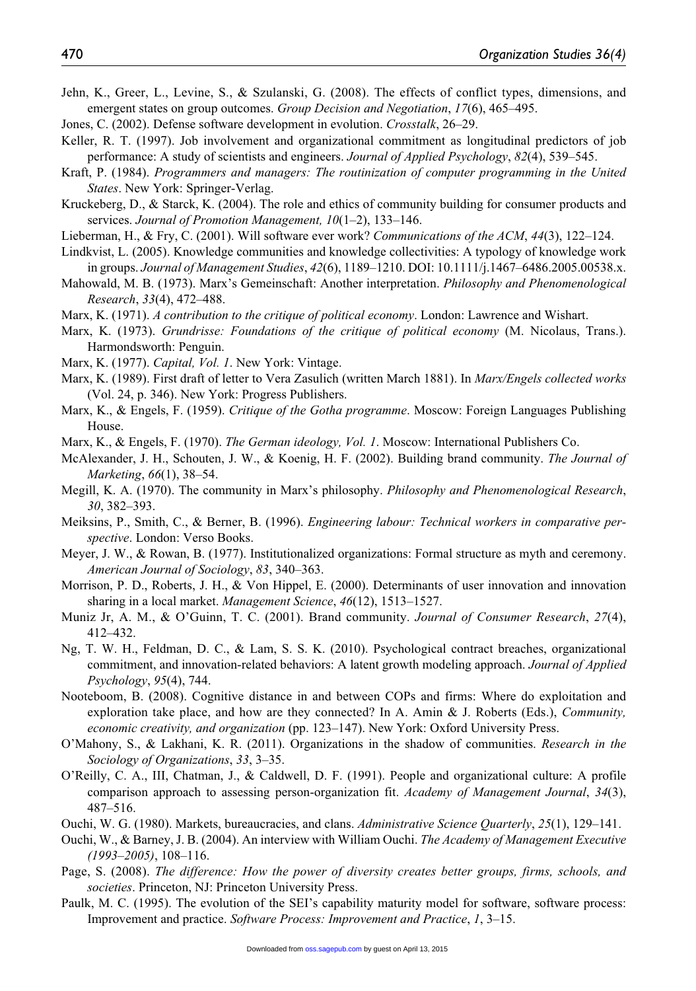- Jehn, K., Greer, L., Levine, S., & Szulanski, G. (2008). The effects of conflict types, dimensions, and emergent states on group outcomes. *Group Decision and Negotiation*, *17*(6), 465–495.
- Jones, C. (2002). Defense software development in evolution. *Crosstalk*, 26–29.
- Keller, R. T. (1997). Job involvement and organizational commitment as longitudinal predictors of job performance: A study of scientists and engineers. *Journal of Applied Psychology*, *82*(4), 539–545.
- Kraft, P. (1984). *Programmers and managers: The routinization of computer programming in the United States*. New York: Springer-Verlag.
- Kruckeberg, D., & Starck, K. (2004). The role and ethics of community building for consumer products and services. *Journal of Promotion Management, 10*(1–2), 133–146.
- Lieberman, H., & Fry, C. (2001). Will software ever work? *Communications of the ACM*, *44*(3), 122–124.
- Lindkvist, L. (2005). Knowledge communities and knowledge collectivities: A typology of knowledge work in groups. *Journal of Management Studies*, *42*(6), 1189–1210. DOI: 10.1111/j.1467–6486.2005.00538.x.
- Mahowald, M. B. (1973). Marx's Gemeinschaft: Another interpretation. *Philosophy and Phenomenological Research*, *33*(4), 472–488.
- Marx, K. (1971). *A contribution to the critique of political economy*. London: Lawrence and Wishart.
- Marx, K. (1973). *Grundrisse: Foundations of the critique of political economy* (M. Nicolaus, Trans.). Harmondsworth: Penguin.
- Marx, K. (1977). *Capital, Vol. 1*. New York: Vintage.
- Marx, K. (1989). First draft of letter to Vera Zasulich (written March 1881). In *Marx/Engels collected works* (Vol. 24, p. 346). New York: Progress Publishers.
- Marx, K., & Engels, F. (1959). *Critique of the Gotha programme*. Moscow: Foreign Languages Publishing House.
- Marx, K., & Engels, F. (1970). *The German ideology, Vol. 1*. Moscow: International Publishers Co.
- McAlexander, J. H., Schouten, J. W., & Koenig, H. F. (2002). Building brand community. *The Journal of Marketing*, *66*(1), 38–54.
- Megill, K. A. (1970). The community in Marx's philosophy. *Philosophy and Phenomenological Research*, *30*, 382–393.
- Meiksins, P., Smith, C., & Berner, B. (1996). *Engineering labour: Technical workers in comparative perspective*. London: Verso Books.
- Meyer, J. W., & Rowan, B. (1977). Institutionalized organizations: Formal structure as myth and ceremony. *American Journal of Sociology*, *83*, 340–363.
- Morrison, P. D., Roberts, J. H., & Von Hippel, E. (2000). Determinants of user innovation and innovation sharing in a local market. *Management Science*, *46*(12), 1513–1527.
- Muniz Jr, A. M., & O'Guinn, T. C. (2001). Brand community. *Journal of Consumer Research*, *27*(4), 412–432.
- Ng, T. W. H., Feldman, D. C., & Lam, S. S. K. (2010). Psychological contract breaches, organizational commitment, and innovation-related behaviors: A latent growth modeling approach. *Journal of Applied Psychology*, *95*(4), 744.
- Nooteboom, B. (2008). Cognitive distance in and between COPs and firms: Where do exploitation and exploration take place, and how are they connected? In A. Amin & J. Roberts (Eds.), *Community, economic creativity, and organization* (pp. 123–147). New York: Oxford University Press.
- O'Mahony, S., & Lakhani, K. R. (2011). Organizations in the shadow of communities. *Research in the Sociology of Organizations*, *33*, 3–35.
- O'Reilly, C. A., III, Chatman, J., & Caldwell, D. F. (1991). People and organizational culture: A profile comparison approach to assessing person-organization fit. *Academy of Management Journal*, *34*(3), 487–516.
- Ouchi, W. G. (1980). Markets, bureaucracies, and clans. *Administrative Science Quarterly*, *25*(1), 129–141.
- Ouchi, W., & Barney, J. B. (2004). An interview with William Ouchi. *The Academy of Management Executive (1993–2005)*, 108–116.
- Page, S. (2008). *The difference: How the power of diversity creates better groups, firms, schools, and societies*. Princeton, NJ: Princeton University Press.
- Paulk, M. C. (1995). The evolution of the SEI's capability maturity model for software, software process: Improvement and practice. *Software Process: Improvement and Practice*, *1*, 3–15.